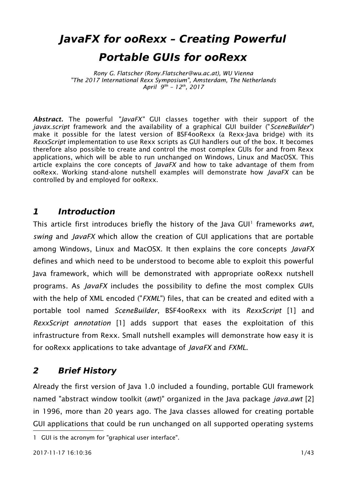# **JavaFX for ooRexx – Creating Powerful Portable GUIs for ooRexx**

*Rony G. Flatscher (Rony.Flatscher@wu.ac.at), WU Vienna "The 2017 International Rexx Symposium", Amsterdam, The Netherlands April 99h – 12th, 2017*

*Abstract.* The powerful *"JavaFX"* GUI classes together with their support of the *javax.script* framework and the availability of a graphical GUI builder ("*SceneBuilder*") make it possible for the latest version of BSF4ooRexx (a Rexx-Java bridge) with its *RexxScript* implementation to use Rexx scripts as GUI handlers out of the box. It becomes therefore also possible to create and control the most complex GUIs for and from Rexx applications, which will be able to run unchanged on Windows, Linux and MacOSX. This article explains the core concepts of *JavaFX* and how to take advantage of them from ooRexx. Working stand-alone nutshell examples will demonstrate how *JavaFX* can be controlled by and employed for ooRexx.

## **1 Introduction**

This article first introduces briefly the history of the Java GUI<sup>[1](#page-0-0)</sup> frameworks awt, *swing* and *JavaFX* which allow the creation of GUI applications that are portable among Windows, Linux and MacOSX. It then explains the core concepts *JavaFX* defines and which need to be understood to become able to exploit this powerful Java framework, which will be demonstrated with appropriate ooRexx nutshell programs. As *JavaFX* includes the possibility to define the most complex GUIs with the help of XML encoded ("*FXML*") files, that can be created and edited with a portable tool named *SceneBuilder*, BSF4ooRexx with its *RexxScript* [\[1\]](#page-31-1) and *RexxScript annotation* [\[1\]](#page-31-1) adds support that eases the exploitation of this infrastructure from Rexx. Small nutshell examples will demonstrate how easy it is for ooRexx applications to take advantage of *JavaFX* and *FXML*.

# **2 Brief History**

Already the first version of Java 1.0 included a founding, portable GUI framework named "abstract window toolkit (*awt*)" organized in the Java package *java.awt* [\[2\]](#page-31-0) in 1996, more than 20 years ago. The Java classes allowed for creating portable GUI applications that could be run unchanged on all supported operating systems

<span id="page-0-0"></span><sup>1</sup> GUI is the acronym for "graphical user interface".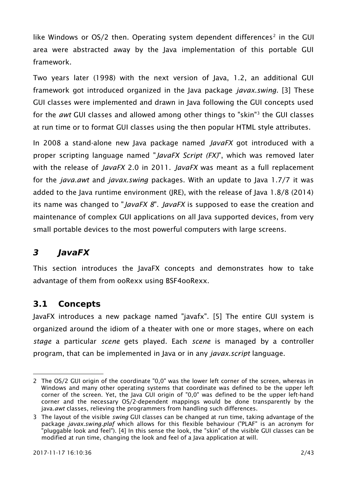like Windows or OS/[2](#page-1-0) then. Operating system dependent differences<sup>2</sup> in the GUI area were abstracted away by the Java implementation of this portable GUI framework.

Two years later (1998) with the next version of Java, 1.2, an additional GUI framework got introduced organized in the Java package *javax.swing*. [\[3\]](#page-31-4) These GUI classes were implemented and drawn in Java following the GUI concepts used for the *awt* GUI classes and allowed among other things to "skin"[3](#page-1-1) the GUI classes at run time or to format GUI classes using the then popular HTML style attributes.

In 2008 a stand-alone new Java package named *JavaFX* got introduced with a proper scripting language named "*JavaFX Script (FX)*", which was removed later with the release of *JavaFX* 2.0 in 2011. *JavaFX* was meant as a full replacement for the *java.awt* and *javax.swing* packages. With an update to Java 1.7/7 it was added to the Java runtime environment (JRE), with the release of Java 1.8/8 (2014) its name was changed to "*JavaFX 8*". *JavaFX* is supposed to ease the creation and maintenance of complex GUI applications on all Java supported devices, from very small portable devices to the most powerful computers with large screens.

# **3 JavaFX**

This section introduces the JavaFX concepts and demonstrates how to take advantage of them from ooRexx using BSF4ooRexx.

# **3.1 Concepts**

JavaFX introduces a new package named "javafx". [\[5\]](#page-31-2) The entire GUI system is organized around the idiom of a theater with one or more stages, where on each *stage* a particular *scene* gets played. Each *scene* is managed by a controller program, that can be implemented in Java or in any *javax.script* language.

<span id="page-1-0"></span><sup>2</sup> The OS/2 GUI origin of the coordinate "0,0" was the lower left corner of the screen, whereas in Windows and many other operating systems that coordinate was defined to be the upper left corner of the screen. Yet, the Java GUI origin of "0,0" was defined to be the upper left-hand corner and the necessary OS/2-dependent mappings would be done transparently by the java.*awt* classes, relieving the programmers from handling such differences.

<span id="page-1-1"></span><sup>3</sup> The layout of the visible *swing* GUI classes can be changed at run time, taking advantage of the package *javax.swing.plaf* which allows for this flexible behaviour ("PLAF" is an acronym for "pluggable look and feel"). [\[4\]](#page-31-3) In this sense the look, the "skin" of the visible GUI classes can be modified at run time, changing the look and feel of a Java application at will.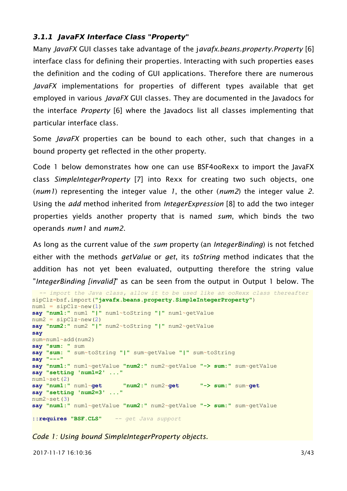#### **3.1.1 JavaFX Interface Class "Property"**

Many *JavaFX* GUI classes take advantage of the j*avafx.beans.property.Property* [\[6\]](#page-31-7) interface class for defining their properties. Interacting with such properties eases the definition and the coding of GUI applications. Therefore there are numerous *JavaFX* implementations for properties of different types available that get employed in various *JavaFX* GUI classes. They are documented in the Javadocs for the interface *Property* [\[6\]](#page-31-7) where the Javadocs list all classes implementing that particular interface class.

Some *JavaFX* properties can be bound to each other, such that changes in a bound property get reflected in the other property.

[Code 1](#page-2-0) [below](#page-2-0) demonstrates how one can use BSF4ooRexx to import the JavaFX class *SimpleIntegerProperty* [\[7\]](#page-31-6) into Rexx for creating two such objects, one (*num1*) representing the integer value *1*, the other (*num2*) the integer value *2*. Using the *add* method inherited from *IntegerExpression* [\[8\]](#page-31-5) to add the two integer properties yields another property that is named *sum*, which binds the two operands *num1* and *num2*.

As long as the current value of the *sum* property (an *IntegerBinding*) is not fetched either with the methods *getValue* or *get*, its *toString* method indicates that the addition has not yet been evaluated, outputting therefore the string value "*IntegerBinding [invalid]*" as can be seen from the output in [Output 1](#page-3-0) [below.](#page-3-0) The

```
 -- import the Java class, allow it to be used like an ooRexx class thereafter
sipClz=bsf.import("javafx.beans.property.SimpleIntegerProperty")
num1 = sipClz~new(1)say "num1:" num1 "|" num1~toString "|" num1~getValue
num2 = sipClz~new(2)say "num2:" num2 "|" num2~toString "|" num2~getValue
say
sum=num1~add(num2)
say "sum: " sum
say "sum: " sum~toString "|" sum~getValue "|" sum~toString
say "---"
say "num1:" num1~getValue "num2:" num2~getValue "-> sum:" sum~getValue
say "setting 'num1=2' ..."
num1~<set(2)<br>say "num1:" num1~qet
                          say "num1:" num1~get "num2:" num2~get "-> sum:" sum~get
say "setting 'num2=3' ..."
num2~set(3)
say "num1:" num1~getValue "num2:" num2~getValue "-> sum:" sum~getValue
::requires "BSF.CLS" -- get Java support
```
<span id="page-2-0"></span>*Code 1: Using bound SimpleIntegerProperty objects.*

2017-11-17 16:10:36 3/43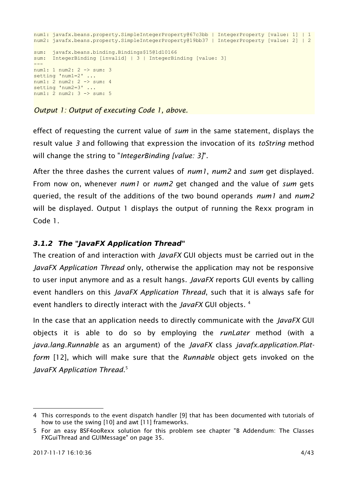```
num1: javafx.beans.property.SimpleIntegerProperty@67c3bb | IntegerProperty [value: 1] | 1
num2: javafx.beans.property.SimpleIntegerProperty@19bb37 | IntegerProperty [value: 2] | 2
sum: javafx.beans.binding.Bindings$15@1d10166
sum: IntegerBinding [invalid] | 3 | IntegerBinding [value: 3]
---
num1: 1 num2: 2 -> sum: 3
setting 'num1=2' ...
num1: 2 num2: 2 -> sum: 4
setting 'num2=3' ...
num1: 2 num2: 3 -> sum: 5
```
<span id="page-3-0"></span>*Output 1: Output of executing [Code 1, above.](#page-2-0)*

effect of requesting the current value of *sum* in the same statement, displays the result value *3* and following that expression the invocation of its *toString* method will change the string to "*IntegerBinding [value: 3]*".

After the three dashes the current values of *num1*, *num2* and *sum* get displayed. From now on, whenever *num1* or *num2* get changed and the value of *sum* gets queried, the result of the additions of the two bound operands *num1* and *num2* will be displayed. [Output 1](#page-3-0) displays the output of running the Rexx program in [Code 1.](#page-2-0)

#### <span id="page-3-3"></span>**3.1.2 The "JavaFX Application Thread"**

The creation of and interaction with *JavaFX* GUI objects must be carried out in the *JavaFX Application Thread* only, otherwise the application may not be responsive to user input anymore and as a result hangs. *JavaFX* reports GUI events by calling event handlers on this *JavaFX Application Thread*, such that it is always safe for event handlers to directly interact with the *JavaFX* GUI objects. [4](#page-3-1)

In the case that an application needs to directly communicate with the *JavaFX* GUI objects it is able to do so by employing the *runLater* method (with a *java.lang.Runnable* as an argument) of the *JavaFX* class *javafx.application.Platform* [\[12\],](#page-31-8) which will make sure that the *Runnable* object gets invoked on the *JavaFX Application Thread*. [5](#page-3-2)

<span id="page-3-1"></span><sup>4</sup> This corresponds to the event dispatch handler [\[9\]](#page-31-11) that has been documented with tutorials of how to use the swing [\[10\]](#page-31-10) and awt [\[11\]](#page-31-9) frameworks.

<span id="page-3-2"></span><sup>5</sup> For an easy BSF4ooRexx solution for this problem see chapter ["B](#page-34-0) [Addendum: The Classes](#page-34-0) [FXGuiThread and GUIMessage"](#page-34-0) on page [35.](#page-34-0)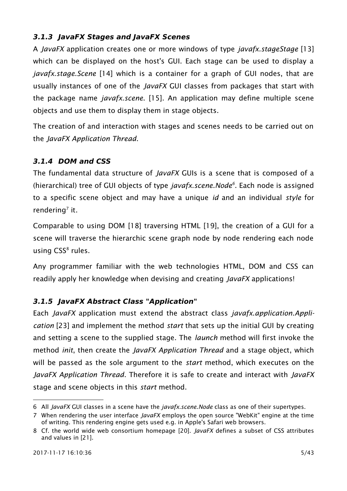## **3.1.3 JavaFX Stages and JavaFX Scenes**

A *JavaFX* application creates one or more windows of type *javafx.stageStage* [\[13\]](#page-31-14) which can be displayed on the host's GUI. Each stage can be used to display a *javafx.stage.Scene* [\[14\]](#page-31-13) which is a container for a graph of GUI nodes, that are usually instances of one of the *JavaFX* GUI classes from packages that start with the package name *javafx.scene*. [\[15\].](#page-31-12) An application may define multiple scene objects and use them to display them in stage objects.

The creation of and interaction with stages and scenes needs to be carried out on the *JavaFX Application Thread*.

## **3.1.4 DOM and CSS**

The fundamental data structure of *JavaFX* GUIs is a scene that is composed of a (hierarchical) tree of GUI objects of type *javafx.scene.Node[6](#page-4-0)* . Each node is assigned to a specific scene object and may have a unique *id* and an individual *style* for rendering<sup>[7](#page-4-1)</sup> it.

Comparable to using DOM [\[18\]](#page-32-4) traversing HTML [\[19\],](#page-32-3) the creation of a GUI for a scene will traverse the hierarchic scene graph node by node rendering each node using CSS<sup>[8](#page-4-2)</sup> rules.

Any programmer familiar with the web technologies HTML, DOM and CSS can readily apply her knowledge when devising and creating *JavaFX* applications!

## **3.1.5 JavaFX Abstract Class "Application"**

Each *JavaFX* application must extend the abstract class *javafx.application.Application* [\[23\]](#page-32-0) and implement the method *start* that sets up the initial GUI by creating and setting a scene to the supplied stage. The *launch* method will first invoke the method *init*, then create the *JavaFX Application Thread* and a stage object, which will be passed as the sole argument to the *start* method, which executes on the *JavaFX Application Thread*. Therefore it is safe to create and interact with *JavaFX* stage and scene objects in this *start* method.

<span id="page-4-0"></span><sup>6</sup> All *JavaFX* GUI classes in a scene have the *javafx.scene.Node* class as one of their supertypes.

<span id="page-4-1"></span><sup>7</sup> When rendering the user interface *JavaFX* employs the open source "WebKit" engine at the time of writing. This rendering engine gets used e.g. in Apple's Safari web browsers.

<span id="page-4-2"></span><sup>8</sup> Cf. the world wide web consortium homepage [\[20\].](#page-32-2) *JavaFX* defines a subset of CSS attributes and values in [\[21\].](#page-32-1)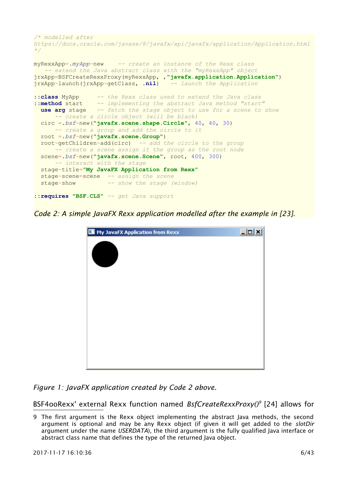```
/* modelled after
https://docs.oracle.com/javase/8/javafx/api/javafx/application/Application.html 
*/
myRexxApp=.myApp~new -- create an instance of the Rexx class
   -- extend the Java abstract class with the "myRexxApp" object
jrxApp=BSFCreateRexxProxy(myRexxApp, ,"javafx.application.Application")
jrxApp~launch(jrxApp~getClass, .nil) -- launch the Application
::class MyApp -- the Rexx class used to extend the Java class
::method start -- implementing the abstract Java method "start"
 use arg stage -- fetch the stage object to use for a scene to show
       -- create a circle object (will be black)
   circ =.bsf~new("javafx.scene.shape.Circle", 40, 40, 30)
       -- create a group and add the circle to it
   root =.bsf~new("javafx.scene.Group")
   root~getChildren~add(circ) -- add the circle to the group
       -- create a scene assign it the group as the root node
   scene=.bsf~new("javafx.scene.Scene", root, 400, 300)
      -- interact with the stage
   stage~title="My JavaFX Application from Rexx"
   stage~scene=scene -- assign the scene
   stage~show -- show the stage (window)
::requires "BSF.CLS" -- get Java support
```
<span id="page-5-0"></span>*Code 2: A simple JavaFX Rexx application modelled after the example in [\[23\].](#page-32-0)*



*Figure 1: JavaFX application created by [Code 2](#page-5-0) [above.](#page-5-0)*

BSF4ooRexx' external Rexx function named *BsfCreateRexxProxy()[9](#page-5-1)* [\[24\]](#page-32-5) allows for

<span id="page-5-1"></span><sup>9</sup> The first argument is the Rexx object implementing the abstract Java methods, the second argument is optional and may be any Rexx object (if given it will get added to the *slotDir* argument under the name *USERDATA*), the third argument is the fully qualified Java interface or abstract class name that defines the type of the returned Java object.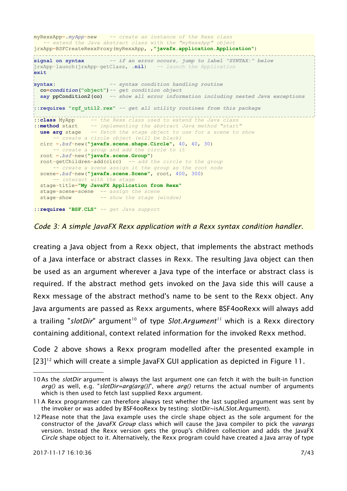```
myRexxApp=.myApp~new -- create an instance of the Rexx class
   -- extend the Java abstract class with the "myRexxApp" object
jrxApp=BSFCreateRexxProxy(myRexxApp, ,"javafx.application.Application")
signal on syntax -- if an error occurs, jump to label "SYNTAX:" below
jrxApp~launch(jrxApp~getClass, .nil) -- launch the Application
exit
syntax: -- syntax condition handling routine
  co=condition("object")-- get condition object
  say ppCondition2(co) -- show all error information including nested Java exceptions
::requires "rgf_util2.rex" -- get all utility routines from this package
::class MyApp -- the Rexx class used to extend the Java class
::method start -- implementing the abstract Java method "start"
  use arg stage -- fetch the stage object to use for a scene to show
       -- create a circle object (will be black)
  circ =.bsf~new("javafx.scene.shape.Circle", 40, 40, 30)
      -- create a group and add the circle to it
  root =.bsf~new("javafx.scene.Group")
  root~getChildren~add(circ) -- add the circle to the group
       -- create a scene assign it the group as the root node
  scene=.bsf~new("javafx.scene.Scene", root, 400, 300)
      -- interact with the stage
  stage~title="My JavaFX Application from Rexx"
  stage~scene=scene -- assign the scene
  stage~show -- show the stage (window)
::requires "BSF.CLS" -- get Java support
```
<span id="page-6-3"></span>*Code 3: A simple JavaFX Rexx application with a Rexx syntax condition handler.*

creating a Java object from a Rexx object, that implements the abstract methods of a Java interface or abstract classes in Rexx. The resulting Java object can then be used as an argument wherever a Java type of the interface or abstract class is required. If the abstract method gets invoked on the Java side this will cause a Rexx message of the abstract method's name to be sent to the Rexx object. Any Java arguments are passed as Rexx arguments, where BSF4ooRexx will always add a trailing "slotDir" argument<sup>[10](#page-6-0)</sup> of type Slot.Argument<sup>[11](#page-6-1)</sup> which is a Rexx directory containing additional, context related information for the invoked Rexx method.

[Code 2](#page-5-0) [above](#page-5-0) shows a Rexx program modelled after the presented example in [\[23\]](#page-32-0)<sup>[12](#page-6-2)</sup> which will create a simple JavaFX GUI application as depicted in [Figure 11.](#page-41-0)

<span id="page-6-0"></span><sup>10</sup>As the *slotDir* argument is always the last argument one can fetch it with the built-in function *arg()* as well, e.g. "*slotDir=arg(arg())*", where *arg()* returns the actual number of arguments which is then used to fetch last supplied Rexx argument.

<span id="page-6-1"></span><sup>11</sup>A Rexx programmer can therefore always test whether the last supplied argument was sent by the invoker or was added by BSF4ooRexx by testing: slotDir~isA(.Slot.Argument).

<span id="page-6-2"></span><sup>12</sup>Please note that the Java example uses the circle shape object as the sole argument for the constructor of the *JavaFX Group* class which will cause the Java compiler to pick the *varargs* version. Instead the Rexx version gets the group's children collection and adds the JavaFX *Circle* shape object to it. Alternatively, the Rexx program could have created a Java array of type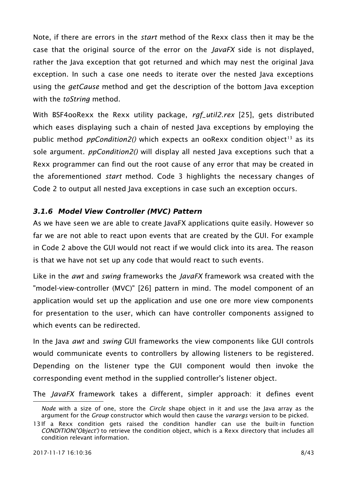Note, if there are errors in the *start* method of the Rexx class then it may be the case that the original source of the error on the *JavaFX* side is not displayed, rather the Java exception that got returned and which may nest the original Java exception. In such a case one needs to iterate over the nested Java exceptions using the *getCause* method and get the description of the bottom Java exception with the *toString* method.

With BSF4ooRexx the Rexx utility package, *rgf\_util2.rex* [\[25\],](#page-32-7) gets distributed which eases displaying such a chain of nested Java exceptions by employing the public method *ppCondition2()* which expects an ooRexx condition object<sup>[13](#page-7-0)</sup> as its sole argument. *ppCondition2()* will display all nested Java exceptions such that a Rexx programmer can find out the root cause of any error that may be created in the aforementioned *start* method. [Code 3](#page-6-3) highlights the necessary changes of [Code 2](#page-5-0) to output all nested Java exceptions in case such an exception occurs.

#### **3.1.6 Model View Controller (MVC) Pattern**

As we have seen we are able to create JavaFX applications quite easily. However so far we are not able to react upon events that are created by the GUI. For example in [Code 2](#page-5-0) [above](#page-5-0) the GUI would not react if we would click into its area. The reason is that we have not set up any code that would react to such events.

Like in the *awt* and *swing* frameworks the *JavaFX* framework wsa created with the "model-view-controller (MVC)" [\[26\]](#page-32-6) pattern in mind. The model component of an application would set up the application and use one ore more view components for presentation to the user, which can have controller components assigned to which events can be redirected.

In the Java *awt* and *swing* GUI frameworks the view components like GUI controls would communicate events to controllers by allowing listeners to be registered. Depending on the listener type the GUI component would then invoke the corresponding event method in the supplied controller's listener object.

The *JavaFX* framework takes a different, simpler approach: it defines event

*Node* with a size of one, store the *Circle* shape object in it and use the Java array as the argument for the *Group* constructor which would then cause the *varargs* version to be picked.

<span id="page-7-0"></span><sup>13</sup>If a Rexx condition gets raised the condition handler can use the built-in function *CONDITION('Object')* to retrieve the condition object, which is a Rexx directory that includes all condition relevant information.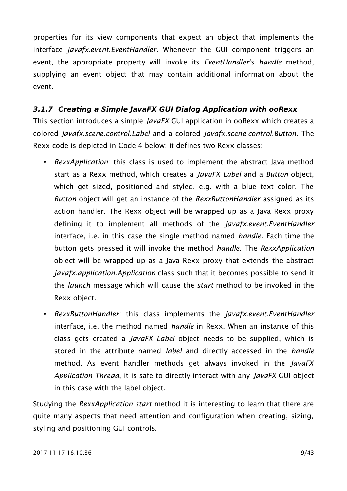properties for its view components that expect an object that implements the interface *javafx.event.EventHandler*. Whenever the GUI component triggers an event, the appropriate property will invoke its *EventHandler*'s *handle* method, supplying an event object that may contain additional information about the event.

#### <span id="page-8-0"></span>**3.1.7 Creating a Simple JavaFX GUI Dialog Application with ooRexx**

This section introduces a simple *JavaFX* GUI application in ooRexx which creates a colored *javafx.scene.control.Label* and a colored *javafx.scene.control.Button*. The Rexx code is depicted in [Code 4](#page-9-0) [below:](#page-9-0) it defines two Rexx classes:

- *RexxApplication*: this class is used to implement the abstract Java method start as a Rexx method, which creates a *JavaFX Label* and a *Button* object, which get sized, positioned and styled, e.g. with a blue text color. The *Button* object will get an instance of the *RexxButtonHandler* assigned as its action handler. The Rexx object will be wrapped up as a Java Rexx proxy defining it to implement all methods of the *javafx.event.EventHandler* interface, i.e. in this case the single method named *handle*. Each time the button gets pressed it will invoke the method *handle*. The *RexxApplication* object will be wrapped up as a Java Rexx proxy that extends the abstract *javafx.application.Application* class such that it becomes possible to send it the *launch* message which will cause the *start* method to be invoked in the Rexx object.
- *RexxButtonHandler*: this class implements the *javafx.event.EventHandler* interface, i.e. the method named *handle* in Rexx. When an instance of this class gets created a *JavaFX Label* object needs to be supplied, which is stored in the attribute named *label* and directly accessed in the *handle* method. As event handler methods get always invoked in the *JavaFX Application Thread*, it is safe to directly interact with any *JavaFX* GUI object in this case with the label object.

Studying the *RexxApplication start* method it is interesting to learn that there are quite many aspects that need attention and configuration when creating, sizing, styling and positioning GUI controls.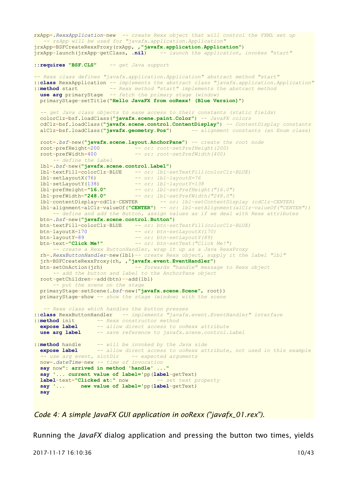```
rxApp=.RexxApplication~new -- create Rexx object that will control the FXML set up
    -- rxApp will be used for "javafx.application.Application"
jrxApp=BSFCreateRexxProxy(rxApp, ,"javafx.application.Application")
jrxApp~launch(jrxApp~getClass, .nil) -- launch the application, invokes "start"
::requires "BSF.CLS" -- get Java support
-- Rexx class defines "javafx.application.Application" abstract method "start"
::class RexxApplication -- implements the abstract class "javafx.application.Application"
::method start -- Rexx method "start" implements the abstract method
use arg primaryStage -- fetch the primary stage (window)
  primaryStage~setTitle("Hello JavaFX from ooRexx! (Blue Version)")
  -- get Java class objects to ease access to their constants (static fields)
  colorClz=bsf.loadClass("javafx.scene.paint.Color") -- JavaFX colors
 cdClz=bsf.loadClass("javafx.scene.control.ContentDisplay") -- ContentDisplay constants
 alClz=bsf.loadClass("javafx.geometry.Pos") -- alignment constants (an Enum class)
  root=.bsf~new("javafx.scene.layout.AnchorPane") -- create the root node
  root~prefHeight=200 -- or: root~setPrefHeight(200)
                               -- or: root~setPrefWidth(400)
       -- define the Label
  lbl=.bsf~new("javafx.scene.control.Label")
  lbl~textFill=colorClz~BLUE -- or: lbl~setTextFill(colorClz~BLUE)
 1bl~setLayoutX(76)  -- or: lbl~layoutX=76<br>1bl~setLayoutY(138)  -- or: lbl~layoutY=138
 lbl~setLayoutY(138) -- or: lbl~layoutY=138
 lbl~prefHeight="16.0" -- or: lbl~setPrefHeight("16.0")
 lbl~prefWidth="248.0" -- or: lbl~setPrefWidth("248.0")
  lbl~contentDisplay=cdClz~CENTER -- or: lbl~setContentDisplay (cdClz~CENTER)
  lbl~alignment=alClz~valueOf("CENTER") -- or: lbl~setAlignment(alClz~valueOf("CENTER"))
       -- define and add the Button, assign values as if we deal with Rexx attributes
  btn=.bsf~new("javafx.scene.control.Button")
  btn~textFill=colorClz~BLUE -- or: btn~setTextFill(colorClz~BLUE)
                                 btn~layoutX=170 -- or: btn~setLayoutX(170)
 btn~layoutY=89  -- or: btn~setLayoutY(89)<br>btn~text="Click Me!"  -- or: btn~setText("Click
                                btn~text="Click Me!" -- or: btn~setText("Click Me!")
       -- create a Rexx ButtonHandler, wrap it up as a Java RexxProxy
  rh=.RexxButtonHandler~new(lbl)-- create Rexx object, supply it the label "lbl"
   jrh=BSFCreateRexxProxy(rh, ,"javafx.event.EventHandler")
  btn~setOnAction(jrh) -- forwards "handle" message to Rexx object
       -- add the button and label to the AnchorPane object
  root~getChildren~~add(btn)~~add(lbl)
       -- put the scene on the stage
  primaryStage~setScene(.bsf~new("javafx.scene.Scene", root))
  primaryStage~show -- show the stage (window) with the scene
    -- Rexx class which handles the button presses
::class RexxButtonHandler -- implements "javafx.event.EventHandler" interface
::method init -- Rexx constructor method
 expose label -- allow direct access to ooRexx attribute
 use arg label -- save reference to javafx.scene.control.Label
::method handle -- will be invoked by the Java side
 expose label -- allow direct access to ooRexx attribute, not used in this example
   -- use arg event, slotDir -- expected arguments
  now=.dateTime~new -- time of invocation
  say now": arrived in method 'handle' ..."
  say '... current value of label='pp(label~getText)
  label~text="Clicked at:" now -- set text property
  say '... new value of label='pp(label~getText)
  say
```
<span id="page-9-0"></span>*Code 4: A simple JavaFX GUI application in ooRexx ("javafx\_01.rex").*

Running the *JavaFX* dialog application and pressing the button two times, yields

2017-11-17 16:10:36 10/43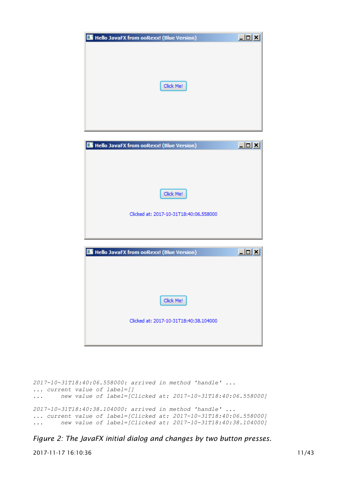| Hello JavaFX from ooRexx! (Blue Version) |  |
|------------------------------------------|--|
|                                          |  |
|                                          |  |
|                                          |  |
|                                          |  |
| Click Me!                                |  |
|                                          |  |
|                                          |  |
|                                          |  |
|                                          |  |

| Hello JavaFX from ooRexx! (Blue Version) | $\Box$ o |
|------------------------------------------|----------|
|                                          |          |
|                                          |          |
|                                          |          |
| Click Me!                                |          |
| Clicked at: 2017-10-31T18:40:06.558000   |          |
|                                          |          |
|                                          |          |

| Hello JavaFX from ooRexx! (Blue Version) | $ \Box$ $\times$ |
|------------------------------------------|------------------|
|                                          |                  |
|                                          |                  |
|                                          |                  |
|                                          |                  |
| Click Me!                                |                  |
|                                          |                  |
| Clicked at: 2017-10-31T18:40:38.104000   |                  |
|                                          |                  |
|                                          |                  |
|                                          |                  |

```
2017-10-31T18:40:06.558000: arrived in method 'handle' ...
... current value of label=[]
... new value of label=[Clicked at: 2017-10-31T18:40:06.558000]
2017-10-31T18:40:38.104000: arrived in method 'handle' ...
... current value of label=[Clicked at: 2017-10-31T18:40:06.558000]
... new value of label=[Clicked at: 2017-10-31T18:40:38.104000]
```
<span id="page-10-0"></span>*Figure 2: The JavaFX initial dialog and changes by two button presses.*

2017-11-17 16:10:36 11/43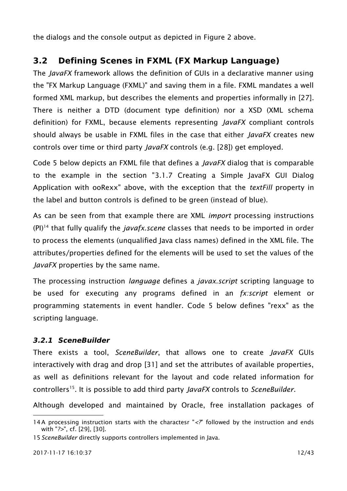the dialogs and the console output as depicted in [Figure 2](#page-10-0) [above.](#page-10-0)

# **3.2 Defining Scenes in FXML (FX Markup Language)**

The *JavaFX* framework allows the definition of GUIs in a declarative manner using the "FX Markup Language (FXML)" and saving them in a file. FXML mandates a well formed XML markup, but describes the elements and properties informally in [\[27\].](#page-32-12) There is neither a DTD (document type definition) nor a XSD (XML schema definition) for FXML, because elements representing *JavaFX* compliant controls should always be usable in FXML files in the case that either *JavaFX* creates new controls over time or third party *JavaFX* controls (e.g. [\[28\]\)](#page-32-11) get employed.

[Code 5](#page-12-0) [below](#page-12-0) depicts an FXML file that defines a *JavaFX* dialog that is comparable to the example in the section ["3.1.7](#page-8-0) [Creating a Simple JavaFX GUI Dialog](#page-8-0) [Application with ooRexx" above,](#page-8-0) with the exception that the *textFill* property in the label and button controls is defined to be green (instead of blue).

As can be seen from that example there are XML *import* processing instructions (PI)[14](#page-11-0) that fully qualify the *javafx.scene* classes that needs to be imported in order to process the elements (unqualified Java class names) defined in the XML file. The attributes/properties defined for the elements will be used to set the values of the *JavaFX* properties by the same name.

The processing instruction *language* defines a *javax.script* scripting language to be used for executing any programs defined in an *fx:script* element or programming statements in event handler. [Code 5](#page-12-0) [below](#page-12-0) defines "rexx" as the scripting language.

#### **3.2.1 SceneBuilder**

There exists a tool, *SceneBuilder*, that allows one to create *JavaFX* GUIs interactively with drag and drop [\[31\]](#page-32-8) and set the attributes of available properties, as well as definitions relevant for the layout and code related information for controllers[15](#page-11-1). It is possible to add third party *JavaFX* controls to *SceneBuilder*.

Although developed and maintained by Oracle, free installation packages of

<span id="page-11-0"></span><sup>14</sup>A processing instruction starts with the charactesr "*<?*" followed by the instruction and ends with "*?>*", cf. [\[29\],](#page-32-10) [\[30\].](#page-32-9)

<span id="page-11-1"></span><sup>15</sup>*SceneBuilder* directly supports controllers implemented in Java.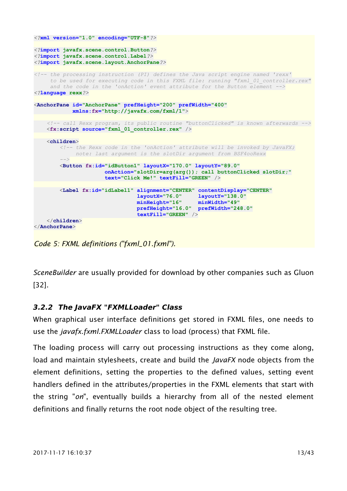```
<?xml version="1.0" encoding="UTF-8"?>
<?import javafx.scene.control.Button?>
<?import javafx.scene.control.Label?>
<?import javafx.scene.layout.AnchorPane?>
<!-- the processing instruction (PI) defines the Java script engine named 'rexx'
     to be used for executing code in this FXML file: running "fxml_01_controller.rex"
     and the code in the 'onAction' event attribute for the Button element -->
<?language rexx?>
<AnchorPane id="AnchorPane" prefHeight="200" prefWidth="400"
           xmlns:fx="http://javafx.com/fxml/1">
    <!-- call Rexx program, its public routine "buttonClicked" is known afterwards -->
    <fx:script source="fxml_01_controller.rex" />
    <children>
        <!-- the Rexx code in the 'onAction' attribute will be invoked by JavaFX;
            note: last argument is the slotDir argument from BSF4ooRexx
 -->
        <Button fx:id="idButton1" layoutX="170.0" layoutY="89.0"
                      onAction="slotDir=arg(arg()); call buttonClicked slotDir;"
                     text="Click Me!" textFill="GREEN" />
        <Label fx:id="idLabel1" alignment="CENTER" contentDisplay="CENTER"
 layoutX="76.0" layoutY="138.0"
                               minHeight="16" minWidth="49"
                               prefHeight="16.0" prefWidth="248.0"
                               textFill="GREEN" />
    </children>
</AnchorPane>
```
<span id="page-12-0"></span>*Code 5: FXML definitions ("fxml\_01.fxml").*

*SceneBuilder* are usually provided for download by other companies such as Gluon [\[32\].](#page-32-13)

#### **3.2.2 The JavaFX "FXMLLoader" Class**

When graphical user interface definitions get stored in FXML files, one needs to use the *javafx.fxml.FXMLLoader* class to load (process) that FXML file.

The loading process will carry out processing instructions as they come along, load and maintain stylesheets, create and build the *JavaFX* node objects from the element definitions, setting the properties to the defined values, setting event handlers defined in the attributes/properties in the FXML elements that start with the string "*on*", eventually builds a hierarchy from all of the nested element definitions and finally returns the root node object of the resulting tree.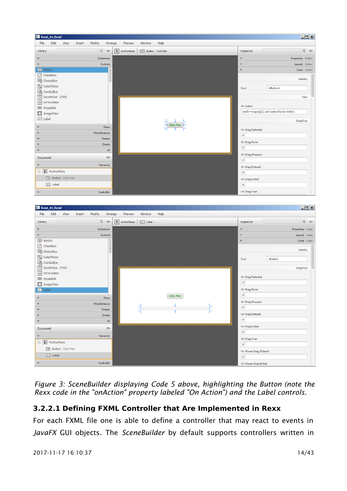| Fisch 1.6xml                                |                   |                                                                  | $\Box$ ulxi         |
|---------------------------------------------|-------------------|------------------------------------------------------------------|---------------------|
| File<br>Edit<br>View<br>Insert              | Modify<br>Arrange | Window<br>Help<br>Preview                                        |                     |
| Library                                     | $Q$ $Q+$          | $\pm$ AnchorPane $\rangle$<br>OK Button : Click Me!<br>Inspector | $Q$ $Q+$            |
| Þ.                                          | Containers        | Þ.                                                               | Properties : Button |
| $\overline{\mathbf{v}}$                     | Controls          | Þ.                                                               | Layout : Button     |
| OK Button                                   |                   | $\boldsymbol{\mathrm{v}}$                                        | Code: Button        |
| $\boxed{\checkmark}$ CheckBox               |                   |                                                                  |                     |
| ChoiceBox                                   |                   |                                                                  | Identity            |
| ColorPicker                                 |                   | fx:id                                                            | idButton1           |
| <b>图</b> ComboBox                           |                   |                                                                  |                     |
| 19 DatePicker (FX8)                         |                   |                                                                  | Main                |
| <> HTMLEditor                               |                   | On Action                                                        |                     |
| ca Hyperlink                                |                   | slotDir=arg(arg()); call buttonClicked slotDir;                  |                     |
| <b>ImageView</b>                            |                   |                                                                  |                     |
| abc Label                                   |                   |                                                                  | DragDrop            |
| Þ                                           | Menu              | Click Me!                                                        |                     |
| Þ                                           | Miscellaneous     | On Drag Detected<br>$\#$                                         |                     |
| Þ                                           | Shapes            |                                                                  |                     |
| ь                                           | Charts            | On Drag Done                                                     |                     |
|                                             | 3D                | $\#$                                                             |                     |
| Document                                    | $\mathcal{O}$     | On Drag Dropped                                                  |                     |
| $\overline{\mathbf{v}}$                     | Hierarchy         | $\#$                                                             |                     |
|                                             |                   | On Drag Entered                                                  |                     |
| $\Theta$ $\overline{\textbf{t}}$ AnchorPane |                   | $\#$                                                             |                     |
| OK Button Click Me!                         |                   | On Drag Exited                                                   |                     |
| abc Label                                   |                   | $\#$                                                             |                     |
| Þ                                           | Controller        | On Drag Over                                                     |                     |
| <b>Ex</b> fxml_01.fxml                      |                   |                                                                  |                     |
|                                             |                   |                                                                  | $\Box$              |
| File<br>Edit<br>View<br>Insert              | Modify<br>Arrange | Window<br>Help<br>Preview                                        |                     |
| Library                                     | $Q$ $Q+$          | $\pm$ AnchorPane<br>abc Label :<br>Inspector                     | $Q$ $Q+$            |
| Þ                                           | Containers        | Þ                                                                | Properties : Label  |
| $\boldsymbol{\mathrm{v}}$                   | Controls          | Þ.                                                               | Layout : Label      |
| OK Button                                   |                   | $\overline{\mathbf{v}}$                                          | Code : Label        |
| $\boxed{\checkmark}$ CheckBox               |                   |                                                                  |                     |
| C ChoiceBox                                 |                   |                                                                  | Identity            |
| ColorPicker                                 |                   | fx:id                                                            | idLabel1            |
| 四 ComboBox                                  |                   |                                                                  |                     |
| 19 DatePicker (FX8)                         |                   |                                                                  | DragDrop            |
| <> HTMLEditor                               |                   | On Drag Detected                                                 |                     |
| <b>ED</b> Hyperlink                         |                   | $\#$                                                             |                     |
| [i] ImageView                               |                   | On Drag Done                                                     |                     |
| abc Label                                   |                   | $\#$                                                             |                     |
| Þ                                           | Menu              | Click Me!                                                        |                     |
| Þ                                           | Miscellaneous     | On Drag Dropped<br>T<br>$\#$                                     |                     |
| Þ                                           | Shapes            | н<br>$\rightarrow$<br>Τ                                          |                     |
| Þ                                           | Charts            | On Drag Entered                                                  |                     |
| Þ                                           | 3D                | $\#$                                                             |                     |
| Document                                    | $\mathbb{Q}$ -    | On Drag Exited                                                   |                     |
| $\boldsymbol{\mathrm{v}}$                   | Hierarchy         | $\#$                                                             |                     |
| <b>J</b> AnchorPane                         |                   | On Drag Over                                                     |                     |
| OK Button Click Me!                         |                   | $\#$                                                             |                     |
| abc Label                                   |                   | On Mouse Drag Entered                                            |                     |
| Þ                                           | Controller        | $\#$<br>On Mouse Drag Exited                                     |                     |

*Figure 3: SceneBuilder displaying [Code 5](#page-12-0) [above,](#page-12-0) highlighting the Button (note the Rexx code in the "onAction" property labeled "On Action") and the Label controls.*

## **3.2.2.1 Defining FXML Controller that Are Implemented in Rexx**

For each FXML file one is able to define a controller that may react to events in *JavaFX* GUI objects. The *SceneBuilder* by default supports controllers written in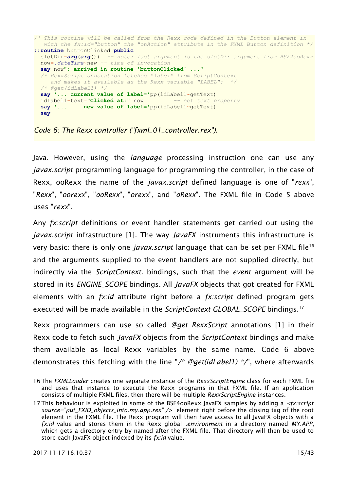```
/* This routine will be called from the Rexx code defined in the Button element in
   with the fx:id="button" the "onAction" attribute in the FXML Button definition */
::routine buttonClicked public
  slotDir=arg(arg()) -- note: last argument is the slotDir argument from BSF4ooRexx
  now=.dateTime~new -- time of invocation
  say now": arrived in routine 'buttonClicked' ..."
  /* RexxScript annotation fetches "label" from ScriptContext
     and makes it available as the Rexx variable "LABEL": */
   /* @get(idLabel1) */
  say '... current value of label='pp(idLabel1~getText)
  idLabel1~text="Clicked at:" now -- set text property
  say '... new value of label='pp(idLabel1~getText)
  say
```
<span id="page-14-0"></span>*Code 6: The Rexx controller ("fxml\_01\_controller.rex").*

Java. However, using the *language* processing instruction one can use any *javax.script* programming language for programming the controller, in the case of Rexx, ooRexx the name of the *javax.script* defined language is one of "*rexx*", "*Rexx*", "*oorexx*", "*ooRexx*", "*orexx*", and "*oRexx*". The FXML file in [Code 5](#page-12-0) [above](#page-12-0) uses "*rexx*".

Any *fx:script* definitions or event handler statements get carried out using the *javax.script* infrastructure [\[1\].](#page-31-1) The way *JavaFX* instruments this infrastructure is very basic: there is only one *javax.script* language that can be set per FXML file[16](#page-14-1) and the arguments supplied to the event handlers are not supplied directly, but indirectly via the *ScriptContext*. bindings, such that the *event* argument will be stored in its *ENGINE\_SCOPE* bindings. All *JavaFX* objects that got created for FXML elements with an *fx:id* attribute right before a *fx:script* defined program gets executed will be made available in the *ScriptContext GLOBAL\_SCOPE* bindings.[17](#page-14-2)

Rexx programmers can use so called *@get RexxScript* annotations [\[1\]](#page-31-1) in their Rexx code to fetch such *JavaFX* objects from the *ScriptContext* bindings and make them available as local Rexx variables by the same name. [Code 6](#page-14-0) [above](#page-14-0) demonstrates this fetching with the line "*/\* @get(idLabel1) \*/*", where afterwards

<span id="page-14-1"></span><sup>16</sup>The *FXMLLoader* creates one separate instance of the *RexxScriptEngine* class for each FXML file and uses that instance to execute the Rexx programs in that FXML file. If an application consists of multiple FXML files, then there will be multiple *RexxScriptEngine* instances.

<span id="page-14-2"></span><sup>17</sup>This behaviour is exploited in some of the BSF4ooRexx JavaFX samples by adding a *<fx:script source="put\_FXID\_objects\_into.my.app.rex" />* element right before the closing tag of the root element in the FXML file. The Rexx program will then have access to all JavaFX objects with a *fx:id* value and stores them in the Rexx global *.environment* in a directory named *MY.APP*, which gets a directory entry by named after the FXML file. That directory will then be used to store each JavaFX object indexed by its *fx:id* value.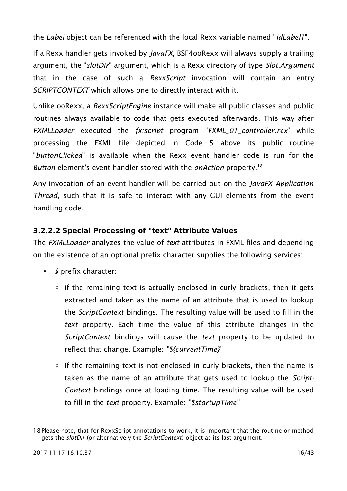the *Label* object can be referenced with the local Rexx variable named "*idLabel1*".

If a Rexx handler gets invoked by *JavaFX*, BSF4ooRexx will always supply a trailing argument, the "*slotDir*" argument, which is a Rexx directory of type *Slot.Argument* that in the case of such a *RexxScript* invocation will contain an entry *SCRIPTCONTEXT* which allows one to directly interact with it.

Unlike ooRexx, a *RexxScriptEngine* instance will make all public classes and public routines always available to code that gets executed afterwards. This way after *FXMLLoader* executed the *fx:script* program "*FXML\_01\_controller.rex*" while processing the FXML file depicted in [Code 5](#page-12-0) [above](#page-12-0) its public routine "*buttonClicked*" is available when the Rexx event handler code is run for the *Button* element's event handler stored with the *onAction* property.[18](#page-15-0)

Any invocation of an event handler will be carried out on the *JavaFX Application Thread*, such that it is safe to interact with any GUI elements from the event handling code.

#### <span id="page-15-1"></span>**3.2.2.2 Special Processing of "text" Attribute Values**

The *FXMLLoader* analyzes the value of *text* attributes in FXML files and depending on the existence of an optional prefix character supplies the following services:

- *\$* prefix character:
	- if the remaining text is actually enclosed in curly brackets, then it gets extracted and taken as the name of an attribute that is used to lookup the *ScriptContext* bindings. The resulting value will be used to fill in the *text* property. Each time the value of this attribute changes in the *ScriptContext* bindings will cause the *text* property to be updated to reflect that change. Example: *"\${currentTime}"*
	- If the remaining text is not enclosed in curly brackets, then the name is taken as the name of an attribute that gets used to lookup the *Script-Context* bindings once at loading time. The resulting value will be used to fill in the *text* property. Example: *"\$startupTime"*

<span id="page-15-0"></span><sup>18</sup>Please note, that for RexxScript annotations to work, it is important that the routine or method gets the *slotDir* (or alternatively the *ScriptContext*) object as its last argument.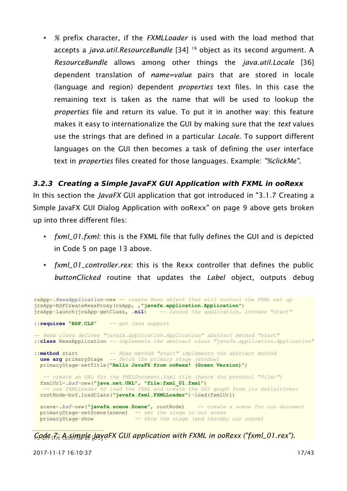• *%* prefix character, if the *FXMLLoader* is used with the load method that accepts a *java.util.ResourceBundle* [\[34\]](#page-33-2) [19](#page-16-0) object as its second argument. A *ResourceBundle* allows among other things the *java.util.Locale* [\[36\]](#page-33-0) dependent translation of *name=value* pairs that are stored in locale (language and region) dependent *properties* text files. In this case the remaining text is taken as the name that will be used to lookup the *properties* file and return its value. To put it in another way: this feature makes it easy to internationalize the GUI by making sure that the *text* values use the strings that are defined in a particular *Locale*. To support different languages on the GUI then becomes a task of defining the user interface text in *properties* files created for those languages. Example: *"%clickMe"*.

#### **3.2.3 Creating a Simple JavaFX GUI Application with FXML in ooRexx**

In this section the *JavaFX* GUI application that got introduced in ["3.1.7](#page-8-0) [Creating a](#page-8-0) [Simple JavaFX GUI Dialog Application with ooRexx"](#page-8-0) on page [9](#page-8-0) [above](#page-8-0) gets broken up into three different files:

- *fxml\_01.fxml*: this is the FXML file that fully defines the GUI and is depicted in [Code 5](#page-12-0) on page [13](#page-12-0) [above.](#page-12-0)
- *fxml\_01\_controller.rex*: this is the Rexx controller that defines the public *buttonClicked* routine that updates the *Label* object, outputs debug

```
rxApp=.RexxApplication~new -- create Rexx object that will control the FXML set up
jrxApp=BSFCreateRexxProxy(rxApp, ,"javafx.application.Application")
                                     jrxApp~launch(jrxApp~getClass, .nil) -- launch the application, invokes "start"
::requires "BSF.CLS" -- get Java support
-- Rexx class defines "javafx.application.Application" abstract method "start"
::class RexxApplication -- implements the abstract class "javafx.application.Application"
::method start -- Rexx method "start" implements the abstract method
 use arg primaryStage -- fetch the primary stage (window)
  primaryStage~setTitle("Hello JavaFX from ooRexx! (Green Version)")
   -- create an URL for the FMXLDocument.fxml file (hence the protocol "file:")
 fxmlUrl=.bsf~new("java.net.URL", "file:fxml_01.fxml")
 -- use FXMLLoader to load the FXML and create the GUI graph from its definitions:
  rootNode=bsf.loadClass("javafx.fxml.FXMLLoader")~load(fxmlUrl)
  scene=.bsf~new("javafx.scene.Scene", rootNode) -- create a scene for our document
 primaryStage~setScene(scene) -- set the stage to our scene
 primaryStage~show -- show the stage (and thereby our scene)
```
<span id="page-16-1"></span><span id="page-16-0"></span>Code<sub>the</sub> A<sub>u</sub>simple JayaFX GUI application with FXML in ooRexx ("fxml\_01.rex").

2017-11-17 16:10:37 17/43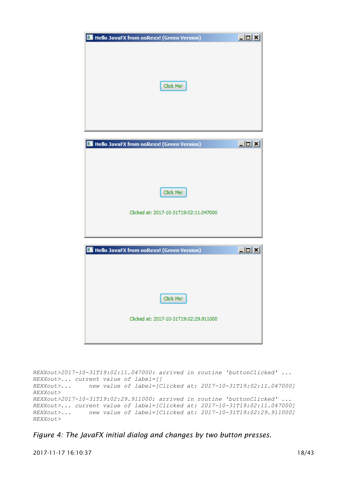

*REXXout>2017-10-31T19:02:11.047000: arrived in routine 'buttonClicked' ... REXXout>... current value of label=[] REXXout>... new value of label=[Clicked at: 2017-10-31T19:02:11.047000] REXXout> REXXout>2017-10-31T19:02:29.911000: arrived in routine 'buttonClicked' ... REXXout>... current value of label=[Clicked at: 2017-10-31T19:02:11.047000] REXXout>... new value of label=[Clicked at: 2017-10-31T19:02:29.911000] REXXout>*

<span id="page-17-0"></span>*Figure 4: The JavaFX initial dialog and changes by two button presses.*

2017-11-17 16:10:37 18/43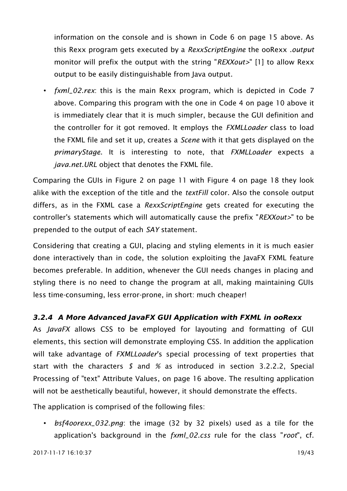information on the console and is shown in [Code 6](#page-14-0) on page [15](#page-14-0) [above.](#page-14-0) As this Rexx program gets executed by a *RexxScriptEngine* the ooRexx *.output* monitor will prefix the output with the string "*REXXout>*" [\[1\]](#page-31-1) to allow Rexx output to be easily distinguishable from Java output.

• *fxml\_02.rex*: this is the main Rexx program, which is depicted in [Code 7](#page-16-1) [above.](#page-16-1) Comparing this program with the one in [Code 4](#page-9-0) on page [10](#page-9-0) [above](#page-9-0) it is immediately clear that it is much simpler, because the GUI definition and the controller for it got removed. It employs the *FXMLLoader* class to load the FXML file and set it up, creates a *Scene* with it that gets displayed on the *primaryStage*. It is interesting to note, that *FXMLLoader* expects a *java.net.URL* object that denotes the FXML file.

Comparing the GUIs in [Figure 2](#page-10-0) on page [11](#page-10-0) with [Figure 4](#page-17-0) on page [18](#page-17-0) they look alike with the exception of the title and the *textFill* color. Also the console output differs, as in the FXML case a *RexxScriptEngine* gets created for executing the controller's statements which will automatically cause the prefix "*REXXout>*" to be prepended to the output of each *SAY* statement.

Considering that creating a GUI, placing and styling elements in it is much easier done interactively than in code, the solution exploiting the JavaFX FXML feature becomes preferable. In addition, whenever the GUI needs changes in placing and styling there is no need to change the program at all, making maintaining GUIs less time-consuming, less error-prone, in short: much cheaper!

#### **3.2.4 A More Advanced JavaFX GUI Application with FXML in ooRexx**

As *JavaFX* allows CSS to be employed for layouting and formatting of GUI elements, this section will demonstrate employing CSS. In addition the application will take advantage of *FXMLLoader*'s special processing of text properties that start with the characters *\$* and *%* as introduced in section [3.2.2.2, Special](#page-15-1) [Processing of "text" Attribute Values,](#page-15-1) on page [16](#page-15-1) [above.](#page-15-1) The resulting application will not be aesthetically beautiful, however, it should demonstrate the effects.

The application is comprised of the following files:

• *bsf4oorexx\_032.png*: the image (32 by 32 pixels) used as a tile for the application's background in the *fxml\_02.css* rule for the class "*root*", cf.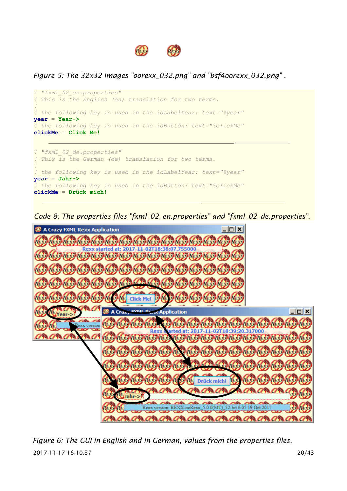

<span id="page-19-0"></span>*Figure 5: The 32x32 images "oorexx\_032.png" and "bsf4oorexx\_032.png" .*



<span id="page-19-1"></span>*Code 8: The properties files "fxml\_02\_en.properties" and "fxml\_02\_de.properties".*



2017-11-17 16:10:37 20/43 *Figure 6: The GUI in English and in German, values from the properties files.*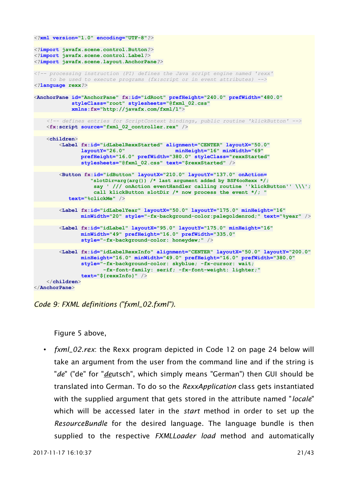```
<?xml version="1.0" encoding="UTF-8"?>
<?import javafx.scene.control.Button?>
<?import javafx.scene.control.Label?>
<?import javafx.scene.layout.AnchorPane?>
<!-- processing instruction (PI) defines the Java script engine named 'rexx'
      to be used to execute programs (fx:script or in event attributes) -->
<?language rexx?>
<AnchorPane id="AnchorPane" fx:id="idRoot" prefHeight="240.0" prefWidth="480.0"
             styleClass="root" stylesheets="@fxml_02.css"
             xmlns:fx="http://javafx.com/fxml/1">
     <!-- defines entries for ScriptContext bindings, public routine 'klickButton' -->
     <fx:script source="fxml_02_controller.rex" />
     <children>
         <Label fx:id="idLabelRexxStarted" alignment="CENTER" layoutX="50.0"
                                               layoutY="26.0" minHeight="16" minWidth="69"
                prefHeight="16.0" prefWidth="380.0" styleClass="rexxStarted"
                stylesheets="@fxml_02.css" text="$rexxStarted" />
         <Button fx:id="idButton" layoutX="210.0" layoutY="137.0" onAction=
                   "slotDir=arg(arg()) /* last argument added by BSF4ooRexx */;
                    say ' /// onAction eventHandler calling routine ''klickButton'' \\\';
                    call klickButton slotDir /* now process the event */; "
            text="%clickMe" />
         <Label fx:id="idLabelYear" layoutX="50.0" layoutY="175.0" minHeight="16"
                minWidth="20" style="-fx-background-color:palegoldenrod;" text="%year" />
         <Label fx:id="idLabel" layoutX="95.0" layoutY="175.0" minHeight="16"
                minWidth="49" prefHeight="16.0" prefWidth="335.0"
                style="-fx-background-color: honeydew;" />
         <Label fx:id="idLabelRexxInfo" alignment="CENTER" layoutX="50.0" layoutY="200.0"
                minHeight="16.0" minWidth="49.0" prefHeight="16.0" prefWidth="380.0"
                style="-fx-background-color: skyblue; -fx-cursor: wait;
                       -fx-font-family: serif; -fx-font-weight: lighter;"
                text="${rexxInfo}" />
     </children>
</AnchorPane>
```
<span id="page-20-0"></span>

[Figure 5](#page-19-0) [above,](#page-19-0)

• *fxml\_02.rex*: the Rexx program depicted in [Code 12](#page-23-0) on page [24](#page-23-0) [below](#page-23-0) will take an argument from the user from the command line and if the string is "*de*" ("de" for "*de*utsch", which simply means "German") then GUI should be translated into German. To do so the *RexxApplication* class gets instantiated with the supplied argument that gets stored in the attribute named "*locale*" which will be accessed later in the *start* method in order to set up the *ResourceBundle* for the desired language. The language bundle is then supplied to the respective *FXMLLoader load* method and automatically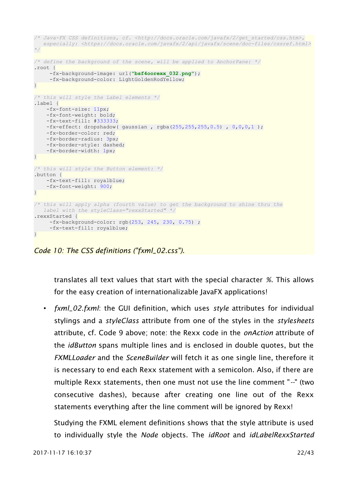```
/* Java-FX CSS definitions, cf. <http://docs.oracle.com/javafx/2/get_started/css.htm>,
   especially: <https://docs.oracle.com/javafx/2/api/javafx/scene/doc-files/cssref.html>
*/
/* define the background of the scene, will be applied to AnchorPane: */
.root {
      -fx-background-image: url("bsf4oorexx_032.png");
    -fx-background-color: LightGoldenRodYellow;
}
/* this will style the Label elements */
.label {
     -fx-font-size: 11px;
    -fx-font-weight: bold;
    -fx-text-fill: #333333;
   -fx\text{-effect: dropshadow( gaussian, rgba(255, 255, 255, 0.5), 0, 0, 0, 1); -fx-border-color: red;
    -fx-border-radius: 3px;
    -fx-border-style: dashed;
    -fx-border-width: 1px;
}
/* this will style the Button element: */
.button {
    -fx-text-fill: royalblue;
    -fx-font-weight: 900;
}
/* this will apply alpha (fourth value) to get the background to shine thru the
   label with the styleClass="rexxStarted" */
.rexxStarted {
      -fx-background-color: rgb(253, 245, 230, 0.75) ;
     -fx-text-fill: royalblue;
}
```
<span id="page-21-0"></span>*Code 10: The CSS definitions ("fxml\_02.css").*

translates all text values that start with the special character *%*. This allows for the easy creation of internationalizable JavaFX applications!

• *fxml\_02.fxml*: the GUI definition, which uses *style* attributes for individual stylings and a *styleClass* attribute from one of the styles in the *stylesheets* attribute, cf. [Code 9](#page-20-0) [above;](#page-20-0) note: the Rexx code in the *onAction* attribute of the *idButton* spans multiple lines and is enclosed in double quotes, but the *FXMLLoader* and the *SceneBuilder* will fetch it as one single line, therefore it is necessary to end each Rexx statement with a semicolon. Also, if there are multiple Rexx statements, then one must not use the line comment "*--*" (two consecutive dashes), because after creating one line out of the Rexx statements everything after the line comment will be ignored by Rexx!

Studying the FXML element definitions shows that the style attribute is used to individually style the *Node* objects. The *idRoot* and *idLabelRexxStarted*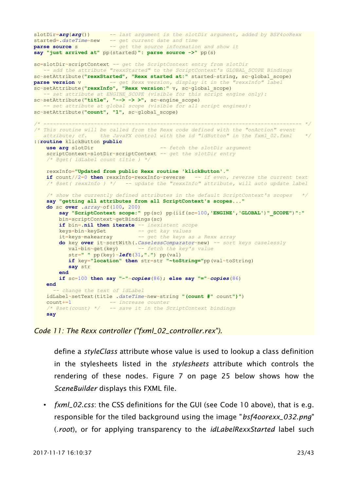```
slotDir=arg(arg()) -- last argument is the slotDir argument, added by BSF4ooRexx
started=.dateTime~new -- get current date and time
parse source s -- get the source information and show it
say "just arrived at" pp(started)": parse source ->" pp(s)
sc=slotDir~scriptContext -- get the ScriptContext entry from slotDir
   -- add the attribute "rexxStarted" to the ScriptContext's GLOBAL_SCOPE Bindings
sc~setAttribute("rexxStarted", "Rexx started at:" started~string, sc~global_scope)
parse version v -- get Rexx version, display it in the "rexxInfo" label
sc~setAttribute("rexxInfo", "Rexx version:" v, sc~global_scope)
   -- set attribute at ENGINE_SCOPE (visible for this script engine only):
sc~setAttribute("title", "--> -> >", sc~engine_scope)
   -- set attribute at global scope (visible for all script engines):
sc~setAttribute("count", "1", sc~global_scope)
/* ---------------------------------------------------------------------------------- */
/* This routine will be called from the Rexx code defined with the "onAction" event
   attribute; cf. the JavaFX control with the id "idButton" in the fxml_02.fxml */
::routine klickButton public
    use arg slotDir -- fetch the slotDir argument
    scriptContext=slotDir~scriptContext -- get the slotDir entry
     /* @get( idLabel count title ) */
    rexxInfo="Updated from public Rexx routine 'klickButton'."
    if count//2=0 then rexxInfo=rexxInfo~reverse -- if even, reverse the current text
     /* @set( rexxInfo ) */ -- update the "rexxInfo" attribute, will auto update label
    /* show the currently defined attributes in the default ScriptContext's scopes */
    say "getting all attributes from all ScriptContext's scopes..."
    do sc over .array~of(100, 200)
        say "ScriptContext scope:" pp(sc) pp(iif(sc=100,'ENGINE','GLOBAL')"_SCOPE")":"
        bin=scriptContext~getBindings(sc)
        if bin=.nil then iterate -- inexistent scope
 keys=bin~keySet -- get kay values
 it=keys~makearray -- get the keys as a Rexx array
        do key over it~sortWith(.CaselessComparator~new) -- sort keys caselessly
           val=bin~get(key) -- fetch the key's value
           str=" " pp(key)~left(31,".") pp(val)
           if key="location" then str=str "~toString="pp(val~toString)
           say str
        end
        if sc=100 then say "-"~copies(86); else say "="~copies(86)
     end
      -- change the text of idLabel
    idLabel~setText(title .dateTime~new~string "(count #" count")")
     count+=1 -- increase counter
     /* @set(count) */ -- save it in the ScriptContext bindings
    say
```
#### <span id="page-22-0"></span>*Code 11: The Rexx controller ("fxml\_02\_controller.rex").*

define a *styleClass* attribute whose value is used to lookup a class definition in the stylesheets listed in the *stylesheets* attribute which controls the rendering of these nodes. [Figure 7](#page-24-0) on page [25](#page-24-0) [below](#page-24-0) shows how the *SceneBuilder* displays this FXML file.

• *fxml\_02.css*: the CSS definitions for the GUI (see [Code 10](#page-21-0) [above\)](#page-21-0), that is e.g. responsible for the tiled background using the image "*bsf4oorexx\_032.png*" (*.root*), or for applying transparency to the *idLabelRexxStarted* label such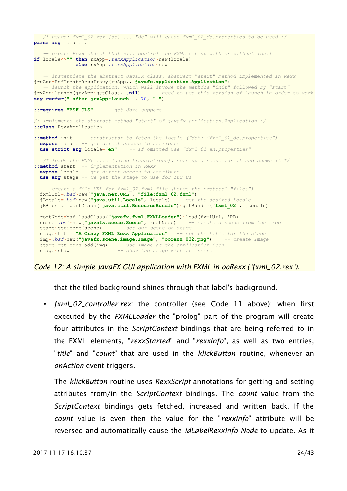```
 /* usage: fxml_02.rex [de] ... "de" will cause fxml_02_de.properties to be used */
parse arg locale .
    -- create Rexx object that will control the FXML set up with or without local
if locale<>"" then rxApp=.rexxApplication~new(locale)
               else rxApp=.rexxApplication~new
    -- instantiate the abstract JavaFX class, abstract "start" method implemented in Rexx
jrxApp=BsfCreateRexxProxy(rxApp,,"javafx.application.Application")
 -- launch the application, which will invoke the methdos "init" followed by "start"
jrxApp~launch(jrxApp~getClass, .nil) -- need to use this version of launch in order to work
say center(" after jrxApp~launch ", 70, "-")
::requires "BSF.CLS" -- get Java support
/* implements the abstract method "start" of javafx.application.Application */
::class RexxApplication
::method init -- constructor to fetch the locale ("de": "fxml_01_de.properties")
 expose locale -- get direct access to attribute<br>use strict arg locale="en" -- if omitted use
                                 use strict arg locale="en" -- if omitted use "fxml_01_en.properties"
   /* loads the FXML file (doing translations), sets up a scene for it and shows it */
::method start -- implementation in Rexx
   expose locale -- get direct access to attribute
  use arg stage -- we get the stage to use for our UI
    -- create a file URL for fxml_02.fxml file (hence the protocol "file:")
  fxmlUrl=.bsf~new("java.net.URL", "file:fxml_02.fxml")
   jLocale=.bsf~new("java.util.Locale", locale) -- get the desired Locale
   jRB=bsf.importClass("java.util.ResourceBundle")~getBundle("fxml_02", jLocale)
  rootNode=bsf.loadClass("javafx.fxml.FXMLLoader")~load(fxmlUrl, jRB)
   scene=.bsf~new("javafx.scene.Scene", rootNode) -- create a scene from the tree
  stage~setScene(scene) -- set our scene on stage
  stage~title="A Crazy FXML Rexx Application" -- set the title for the stage
  img=.bsf~new("javafx.scene.image.Image", "oorexx_032.png") -- create Image
   stage~getIcons~add(img) -- use image as the application icon
  stage~show -- show the stage with the scene
```
<span id="page-23-0"></span>*Code 12: A simple JavaFX GUI application with FXML in ooRexx ("fxml\_02.rex").*

that the tiled background shines through that label's background.

• *fxml\_02\_controller.rex*: the controller (see [Code 11](#page-22-0) [above\)](#page-22-0): when first executed by the *FXMLLoader* the "prolog" part of the program will create four attributes in the *ScriptContext* bindings that are being referred to in the FXML elements, "*rexxStarted*" and "*rexxInfo*", as well as two entries, "*title*" and "*count*" that are used in the *klickButton* routine, whenever an *onAction* event triggers.

The *klickButton* routine uses *RexxScript* annotations for getting and setting attributes from/in the *ScriptContext* bindings. The *count* value from the *ScriptContext* bindings gets fetched, increased and written back. If the *count* value is even then the value for the "*rexxInfo*" attribute will be reversed and automatically cause the *idLabelRexxInfo Node* to update. As it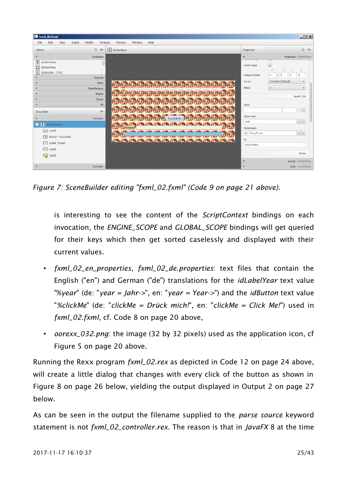| E fxml_02.fxml                                                           |                   |                                    |                              | $\Box$ D $\Box$                                                                                                              |
|--------------------------------------------------------------------------|-------------------|------------------------------------|------------------------------|------------------------------------------------------------------------------------------------------------------------------|
| Edit<br>View<br><b>File</b><br>Insert                                    | Modify<br>Arrange | Help<br>Window<br>Preview          |                              |                                                                                                                              |
| Library                                                                  | $Q$ $Q+$          | $\overline{\mathbf{t}}$ AnchorPane | Inspector                    | $Q$ $Q+$                                                                                                                     |
|                                                                          | Containers        |                                    | $\overline{\mathbf{v}}$      | Properties : AnchorPane                                                                                                      |
| $\pm$ AnchorPane<br>口<br>BorderPane<br>$\overline{?}$<br>ButtonBar (FX8) |                   |                                    | Scale Shape                  | U <sup>w</sup> T<br>$\checkmark$<br>$\Box$<br>o.<br>$\Box$<br>$\Box$<br>$\mathbf{0}$<br>$\bullet$<br>$\circ$<br>$\mathbf{0}$ |
|                                                                          | Controls          |                                    | Opaque Insets                |                                                                                                                              |
|                                                                          | Menu              |                                    | Curson                       | Inherited (Default)                                                                                                          |
|                                                                          | Miscellaneous     |                                    | Effect                       | $\overline{\mathbf{v}}$                                                                                                      |
|                                                                          | Shapes<br>Charts  |                                    |                              | JavaFX CSS                                                                                                                   |
|                                                                          | 3D                |                                    | Style                        |                                                                                                                              |
| Document                                                                 | $\mathcal{O}^+$   |                                    |                              | $+ \quad \, \textbf{v}$                                                                                                      |
|                                                                          | Hierarchy         | %clickMe                           | <b>Style Class</b>           |                                                                                                                              |
| $\bullet$ <b>t</b> AnchorPane                                            |                   |                                    | root                         | $+ \,$ $\,$ $\,$ $\,$                                                                                                        |
| abc Label                                                                |                   | $9$ /ovear                         | Stylesheets<br>@ fxml_02.css | $+$ $+$                                                                                                                      |
| Button %clickMe<br>[ <sup>OR</sup> ]                                     |                   |                                    | Id                           |                                                                                                                              |
| abc Label %year                                                          |                   |                                    | AnchorPane                   |                                                                                                                              |
| Label<br>abc                                                             |                   |                                    |                              |                                                                                                                              |
| <b>函</b> Label                                                           |                   |                                    |                              | Extras                                                                                                                       |
|                                                                          |                   |                                    | Þ                            | Layout : AnchorPane                                                                                                          |
|                                                                          | Controller        |                                    | b.                           | Code : AnchorPane                                                                                                            |

<span id="page-24-0"></span>*Figure 7: SceneBuilder editing "fxml\_02.fxml" [\(Code 9](#page-20-0) on page [21](#page-20-0) [above\)](#page-20-0).*

is interesting to see the content of the *ScriptContext* bindings on each invocation, the *ENGINE\_SCOPE* and *GLOBAL\_SCOPE* bindings will get queried for their keys which then get sorted caselessly and displayed with their current values.

- *fxml\_02\_en\_properties*, *fxml\_02\_de.properties*: text files that contain the English ("en") and German ("de") translations for the *idLabelYear* text value "%*year*" (de: "*year = Jahr->*", en: "*year = Year->*") and the *idButton* text value "*%clickMe*" (de: "*clickMe = Drück mich!*", en: "*clickMe = Click Me!*") used in *fxml\_02.fxml*, cf. [Code 8](#page-19-1) on page [20](#page-19-1) [above,](#page-19-1)
- *oorexx\_032.png*: the image (32 by 32 pixels) used as the application icon, cf [Figure 5](#page-19-0) on page [20](#page-19-0) [above.](#page-19-0)

Running the Rexx program *fxml\_02.rex* as depicted in [Code 12](#page-23-0) on page [24](#page-23-0) [above,](#page-23-0) will create a little dialog that changes with every click of the button as shown in [Figure 8](#page-25-0) on page [26](#page-25-0) [below,](#page-25-0) yielding the output displayed in [Output 2](#page-26-0) on page [27](#page-26-0) [below.](#page-26-0)

As can be seen in the output the filename supplied to the *parse source* keyword statement is not *fxml\_02\_controller.rex*. The reason is that in *JavaFX* 8 at the time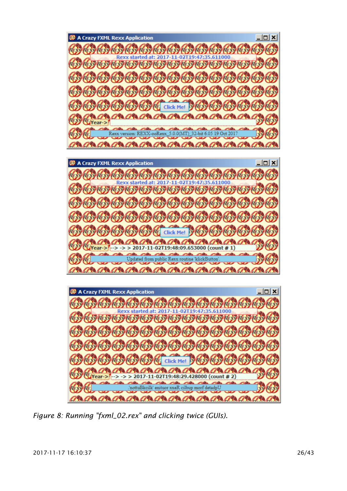A Crazy FXML Rexx Application  $|n| \times |$ RESORT RESORT RESORT RESORT RESORT RESORT REXX *Baryla* Rexx started at: 2017-11-02T19:47:35.6 **©}©}©}©}©}©}©}©}©}©}** REX **REXX REXX REXX** REXX REXX REXX REXX REXX fer. **Click Me!**  $R_{F}$ Year-> 32-bit 6.05 19 Oct 20 version: REXX-ooRexx  $5.0.0(MT)$ <u>AB AB AB AB AB AB AB AB AB AB</u>  $|D|$  $X$  $|$ A Crazy FXML Rexx Application REX REX REX REX REX REX REX REX REX REX **REXV REX** Rexx started at: 2017-11-02T19:47 REXX **REXX REXX REXX**  $R_{\rm EW}$ REXX REXX **Click Me!** REA 98 798 798 7  $\Rightarrow$  > 2017-11-02T19:48:09.653000 (count #1) **Year-5**  $\sim$  $\sim$ ted from public Rexx routine klickE 798 AP8 AP8 AP8 AP8  $|D|$  $\times$ A Crazy FXML Rexx Application **RESOURCES RESOURCES RESOURCES** Rexx started at: 2017-11-02T19:47: ROYROYROYROYROYROYROYROYROY **REXVRE** REXX Click Me! REXX  $790/790$  $7%$  $\Rightarrow$  > > 2017-11-02T19:48:29.428000 (count # 2) Year .<br>Alba alin.  $\overline{ca}$ **CARL Cilla** ttuBkcilk' enituor xxeR cilbup morf deta an an an an an an  $\alpha$ 

<span id="page-25-0"></span>*Figure 8: Running "fxml\_02.rex" and clicking twice (GUIs).*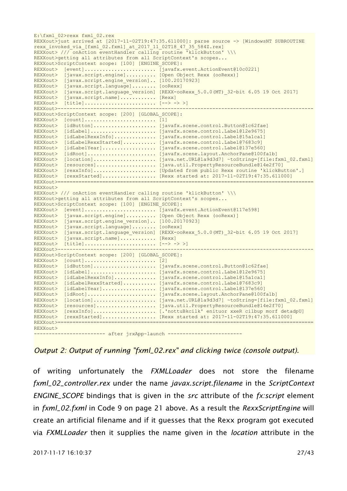E:\fxml\_02>rexx fxml\_02.rex REXXout>just arrived at [2017-11-02T19:47:35.611000]: parse source -> [WindowsNT SUBROUTINE rexx invoked via [fxml 02.fxml] at 2017 11 02T18 47 35 584Z.rex] REXXout> /// onAction eventHandler calling routine 'klickButton' \\\ REXXout>getting all attributes from all ScriptContext's scopes... REXXout>ScriptContext scope: [100] [ENGINE\_SCOPE]: REXXout> [event]........................ [javafx.event.ActionEvent@10c0221] REXXout> [javax.script.engine].......... [Open Object Rexx (ooRexx)] REXXout> [javax.script.engine\_version].. [100.20170923] REXXout> [javax.script.language]........ [ooRexx] REXXout> [javax.script.language version] [REXX-ooRexx 5.0.0(MT) 32-bit 6.05 19 Oct 2017] REXXout> [javax.script.name]............ [Rexx] REXXout> [title]........................ [--> -> >] REXXout>-------------------------------------------------------------------------------------- REXXout>ScriptContext scope: [200] [GLOBAL\_SCOPE]: REXXout> [count]........................ [1] REXXout> [idButton]..................... [javafx.scene.control.Button@1c62fae] REXXout> [idLabel]...................... [javafx.scene.control.Label@12e9675] REXXout> [idLabelRexxInfo].............. [javafx.scene.control.Label@15a1ca1] REXXout> [idLabelRexxStarted]........... [javafx.scene.control.Label@7683c9] REXXout> [idLabelYear].................. [javafx.scene.control.Label@137e560] REXXout> [idRoot]....................... [javafx.scene.layout.AnchorPane@100fa1b] REXXout> [location]..................... [java.net.URL@1a9d3d7] ~toString=[file:fxml\_02.fxml] REXXout> [resources].................... [java.util.PropertyResourceBundle@14e2f70] REXXout> [rexxInfo]..................... [Updated from public Rexx routine 'klickButton'.] REXXout> [rexxStarted].................... [Rexx started at: 2017-11-02T19:47:35.611000] REXXout>====================================================================================== REXXout> REXXout> /// onAction eventHandler calling routine 'klickButton' \\\ REXXout>getting all attributes from all ScriptContext's scopes... REXXout>ScriptContext scope: [100] [ENGINE\_SCOPE]: REXXout> [event]........................ [javafx.event.ActionEvent@117e598] REXXout> [javax.script.engine].......... [Open Object Rexx (ooRexx)] REXXout> [javax.script.engine\_version].. [100.20170923] REXXout> [javax.script.language]........ [ooRexx] REXXout> [javax.script.language\_version] [REXX-ooRexx\_5.0.0(MT)\_32-bit 6.05 19 Oct 2017] REXXout> [javax.script.name]............ [Rexx] REXXout> [title]........................ [--> -> >] REXXout>-------------------------------------------------------------------------------------- REXXout>ScriptContext scope: [200] [GLOBAL\_SCOPE]: REXXout> [count]........................ [2] REXXout> [idButton]..................... [javafx.scene.control.Button@1c62fae] REXXout> [idLabel]...................... [javafx.scene.control.Label@12e9675] REXXout> [idLabelRexxInfo].............. [javafx.scene.control.Label@15a1ca1] REXXout> [idLabelRexxStarted]........... [javafx.scene.control.Label@7683c9] REXXout> [idLabelYear].................. [javafx.scene.control.Label@137e560] REXXout> [idRoot]....................... [javafx.scene.layout.AnchorPane@100fa1b] REXXout> [location]..................... [java.net.URL@1a9d3d7] ~toString=[file:fxml\_02.fxml] REXXout> [resources].................... [java.util.PropertyResourceBundle@14e2f70] REXXout> [rexxInfo]..................... [.'nottuBkcilk' enituor xxeR cilbup morf detadpU] REXXout> [rexxStarted].................... [Rexx started at: 2017-11-02T19:47:35.611000] REXXout>====================================================================================== REXXout> ------------------------ after jrxApp~launch -------------------------

<span id="page-26-0"></span>*Output 2: Output of running "fxml\_02.rex" and clicking twice (console output).*

of writing unfortunately the *FXMLLoader* does not store the filename *fxml\_02\_controller.rex* under the name *javax.script.filename* in the *ScriptContext ENGINE\_SCOPE* bindings that is given in the *src* attribute of the *fx:script* element in *fxml\_02.fxml* in [Code 9](#page-20-0) on page [21](#page-20-0) [above.](#page-20-0) As a result the *RexxScriptEngine* will create an artificial filename and if it guesses that the Rexx program got executed via *FXMLLoader* then it supplies the name given in the *location* attribute in the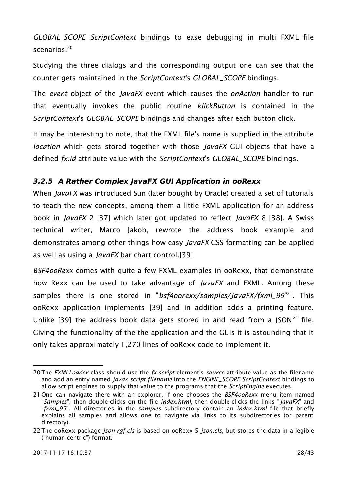*GLOBAL\_SCOPE ScriptContext* bindings to ease debugging in multi FXML file scenarios<sup>[20](#page-27-0)</sup>

Studying the three dialogs and the corresponding output one can see that the counter gets maintained in the *ScriptContext*'s *GLOBAL\_SCOPE* bindings.

The *event* object of the *JavaFX* event which causes the *onAction* handler to run that eventually invokes the public routine *klickButton* is contained in the *ScriptContext*'s *GLOBAL\_SCOPE* bindings and changes after each button click.

It may be interesting to note, that the FXML file's name is supplied in the attribute *location* which gets stored together with those *JavaFX* GUI objects that have a defined *fx:id* attribute value with the *ScriptContext*'s *GLOBAL\_SCOPE* bindings.

#### **3.2.5 A Rather Complex JavaFX GUI Application in ooRexx**

When *JavaFX* was introduced Sun (later bought by Oracle) created a set of tutorials to teach the new concepts, among them a little FXML application for an address book in *JavaFX* 2 [\[37\]](#page-33-5) which later got updated to reflect *JavaFX* 8 [\[38\].](#page-33-4) A Swiss technical writer, Marco Jakob, rewrote the address book example and demonstrates among other things how easy *JavaFX* CSS formatting can be applied as well as using a *JavaFX* bar chart control[.\[39\]](#page-33-3)

*BSF4ooRexx* comes with quite a few FXML examples in ooRexx, that demonstrate how Rexx can be used to take advantage of *JavaFX* and FXML. Among these samples there is one stored in "*bsf4oorexx/samples/JavaFX/fxml\_99*"<sup>[21](#page-27-1)</sup>. This ooRexx application implements [\[39\]](#page-33-3) and in addition adds a printing feature. Unlike [\[39\]](#page-33-3) the address book data gets stored in and read from a  $ISON<sup>22</sup>$  $ISON<sup>22</sup>$  $ISON<sup>22</sup>$  file. Giving the functionality of the the application and the GUIs it is astounding that it only takes approximately 1,270 lines of ooRexx code to implement it.

<span id="page-27-0"></span><sup>20</sup>The *FXMLLoader* class should use the *fx:script* element's *source* attribute value as the filename and add an entry named *javax.script.filename* into the *ENGINE\_SCOPE ScriptContext* bindings to allow script engines to supply that value to the programs that the *ScriptEngine* executes.

<span id="page-27-1"></span><sup>21</sup> One can navigate there with an explorer, if one chooses the *BSF4ooRexx* menu item named "*Samples*", then double-clicks on the file *index.html*, then double-clicks the links "*JavaFX*" and "*fxml\_99*". All directories in the *samples* subdirectory contain an *index.html* file that briefly explains all samples and allows one to navigate via links to its subdirectories (or parent directory).

<span id="page-27-2"></span><sup>22</sup>The ooRexx package *json-rgf.cls* is based on ooRexx 5 *json.cls*, but stores the data in a legible ("human centric") format.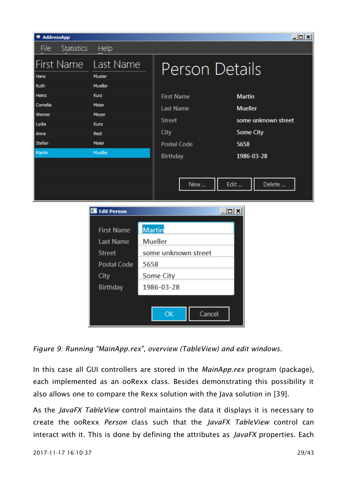| <sup>■</sup> AddressApp                                          |                                                                                                                        |                                         |                                                                                                                | $\Box$ u $\times$                                                                                                  |
|------------------------------------------------------------------|------------------------------------------------------------------------------------------------------------------------|-----------------------------------------|----------------------------------------------------------------------------------------------------------------|--------------------------------------------------------------------------------------------------------------------|
| File<br>Statistics                                               | Help                                                                                                                   |                                         |                                                                                                                |                                                                                                                    |
| First Name<br>Hans<br>Ruth                                       | Last Name<br>Muster<br>Mueller                                                                                         |                                         | <b>Person Details</b>                                                                                          |                                                                                                                    |
| Heinz<br>Cornelia<br>Werner<br>Lydia<br>Anna<br>Stefan<br>Martin | <b>Kurz</b><br>Meier<br>Meyer<br><b>Kunz</b><br><b>Best</b><br>Meier<br>Mueller                                        |                                         | <b>First Name</b><br><b>Last Name</b><br><b>Street</b><br>City<br><b>Postal Code</b><br><b>Birthday</b><br>New | <b>Martin</b><br><b>Mueller</b><br>some unknown street<br><b>Some City</b><br>5658<br>1986-03-28<br>Edit<br>Delete |
|                                                                  | <b>Edit Person</b><br><b>First Name</b><br><b>Last Name</b><br><b>Street</b><br>Postal Code<br>City<br><b>Birthday</b> | <b>Martin</b><br><b>Mueller</b><br>5658 | $\square$ l $\square$<br>some unknown street<br><b>Some City</b><br>1986-03-28<br>Cancel<br>OK                 |                                                                                                                    |

*Figure 9: Running "MainApp.rex", overview (TableView) and edit windows.*

In this case all GUI controllers are stored in the *MainApp.rex* program (package), each implemented as an ooRexx class. Besides demonstrating this possibility it also allows one to compare the Rexx solution with the Java solution in [\[39\].](#page-33-3)

As the *JavaFX TableView* control maintains the data it displays it is necessary to create the ooRexx *Person* class such that the *JavaFX TableView* control can interact with it. This is done by defining the attributes as *JavaFX* properties. Each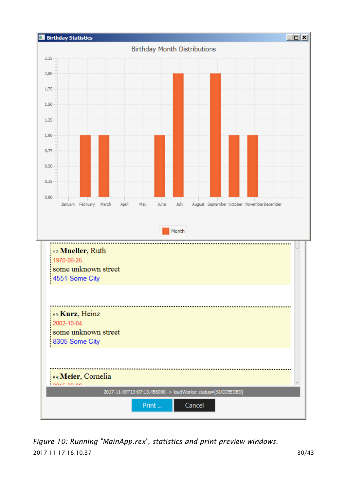

2017-11-17 16:10:37 30/43 *Figure 10: Running "MainApp.rex", statistics and print preview windows.*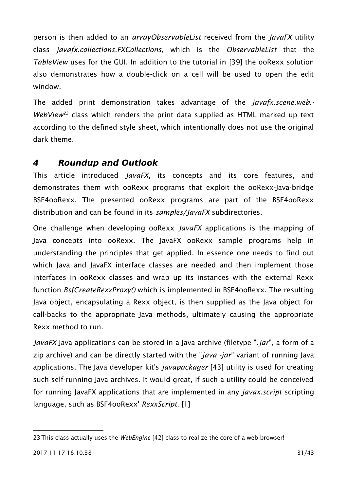person is then added to an *arrayObservableList* received from the *JavaFX* utility class *javafx.collections.FXCollections*, which is the *ObservableList* that the *TableView* uses for the GUI. In addition to the tutorial in [\[39\]](#page-33-3) the ooRexx solution also demonstrates how a double-click on a cell will be used to open the edit window.

The added print demonstration takes advantage of the *javafx.scene.web.- WebView[23](#page-30-0)* class which renders the print data supplied as HTML marked up text according to the defined style sheet, which intentionally does not use the original dark theme.

## **4 Roundup and Outlook**

This article introduced *JavaFX*, its concepts and its core features, and demonstrates them with ooRexx programs that exploit the ooRexx-Java-bridge BSF4ooRexx. The presented ooRexx programs are part of the BSF4ooRexx distribution and can be found in its *samples/JavaFX* subdirectories.

One challenge when developing ooRexx *JavaFX* applications is the mapping of Java concepts into ooRexx. The JavaFX ooRexx sample programs help in understanding the principles that get applied. In essence one needs to find out which Java and JavaFX interface classes are needed and then implement those interfaces in ooRexx classes and wrap up its instances with the external Rexx function *BsfCreateRexxProxy()* which is implemented in BSF4ooRexx. The resulting Java object, encapsulating a Rexx object, is then supplied as the Java object for call-backs to the appropriate Java methods, ultimately causing the appropriate Rexx method to run.

*JavaFX* Java applications can be stored in a Java archive (filetype ".*jar*", a form of a zip archive) and can be directly started with the "*java -jar*" variant of running Java applications. The Java developer kit's *javapackager* [\[43\]](#page-33-6) utility is used for creating such self-running Java archives. It would great, if such a utility could be conceived for running JavaFX applications that are implemented in any *javax.script* scripting language, such as BSF4ooRexx' *RexxScript*. [\[1\]](#page-31-1)

<span id="page-30-0"></span><sup>23</sup>This class actually uses the *WebEngine* [\[42\]](#page-33-7) class to realize the core of a web browser!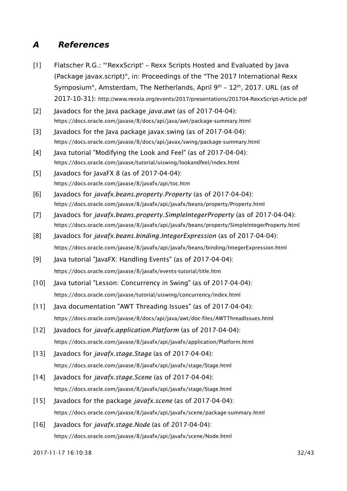## **A References**

- <span id="page-31-1"></span>[1] Flatscher R.G.: "'RexxScript' – Rexx Scripts Hosted and Evaluated by Java (Package javax.script)", in: Proceedings of the "The 2017 International Rexx Symposium", Amsterdam, The Netherlands, April  $9<sup>th</sup> - 12<sup>th</sup>$ , 2017. URL (as of 2017-10-31): http://www.rexxla.org/events/2017/presentations/201704-RexxScript-Article.pdf
- <span id="page-31-0"></span>[2] Javadocs for the Java package *java.awt* (as of 2017-04-04): https://docs.oracle.com/javase/8/docs/api/java/awt/package-summary.html
- <span id="page-31-4"></span>[3] Javadocs for the Java package javax.swing (as of 2017-04-04): https://docs.oracle.com/javase/8/docs/api/javax/swing/package-summary.html
- <span id="page-31-3"></span>[4] Java tutorial "Modifying the Look and Feel" (as of 2017-04-04): https://docs.oracle.com/javase/tutorial/uiswing/lookandfeel/index.html
- <span id="page-31-2"></span>[5] Javadocs for JavaFX 8 (as of 2017-04-04): https://docs.oracle.com/javase/8/javafx/api/toc.htm
- <span id="page-31-7"></span>[6] Javadocs for *javafx.beans.property.Property* (as of 2017-04-04): https://docs.oracle.com/javase/8/javafx/api/javafx/beans/property/Property.html
- <span id="page-31-6"></span>[7] Javadocs for *javafx.beans.property.SimpleIntegerProperty* (as of 2017-04-04): https://docs.oracle.com/javase/8/javafx/api/javafx/beans/property/SimpleIntegerProperty.html
- <span id="page-31-5"></span>[8] Javadocs for *javafx.beans.binding.IntegerExpression* (as of 2017-04-04): https://docs.oracle.com/javase/8/javafx/api/javafx/beans/binding/IntegerExpression.html
- <span id="page-31-11"></span>[9] Java tutorial "JavaFX: Handling Events" (as of 2017-04-04): https://docs.oracle.com/javase/8/javafx/events-tutorial/title.htm
- <span id="page-31-10"></span>[10] Java tutorial "Lesson: Concurrency in Swing" (as of 2017-04-04): https://docs.oracle.com/javase/tutorial/uiswing/concurrency/index.html
- <span id="page-31-9"></span>[11] Java documentation "AWT Threading Issues" (as of 2017-04-04): https://docs.oracle.com/javase/8/docs/api/java/awt/doc-files/AWTThreadIssues.html
- <span id="page-31-8"></span>[12] Javadocs for *javafx.application.Platform* (as of 2017-04-04): https://docs.oracle.com/javase/8/javafx/api/javafx/application/Platform.html
- <span id="page-31-14"></span>[13] Javadocs for *javafx.stage.Stage* (as of 2017-04-04): https://docs.oracle.com/javase/8/javafx/api/javafx/stage/Stage.html
- <span id="page-31-13"></span>[14] Javadocs for *javafx.stage.Scene* (as of 2017-04-04): https://docs.oracle.com/javase/8/javafx/api/javafx/stage/Stage.html
- <span id="page-31-12"></span>[15] Javadocs for the package *javafx.scene* (as of 2017-04-04): https://docs.oracle.com/javase/8/javafx/api/javafx/scene/package-summary.html
- [16] Javadocs for *javafx.stage.Node* (as of 2017-04-04): https://docs.oracle.com/javase/8/javafx/api/javafx/scene/Node.html

2017-11-17 16:10:38 32/43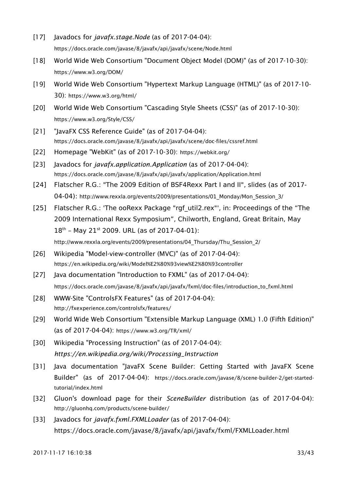- [17] Javadocs for *javafx.stage.Node* (as of 2017-04-04): https://docs.oracle.com/javase/8/javafx/api/javafx/scene/Node.html
- <span id="page-32-4"></span>[18] World Wide Web Consortium "Document Object Model (DOM)" (as of 2017-10-30): https://www.w3.org/DOM/
- <span id="page-32-3"></span>[19] World Wide Web Consortium "Hypertext Markup Language (HTML)" (as of 2017-10- 30): https://www.w3.org/html/
- <span id="page-32-2"></span>[20] World Wide Web Consortium "Cascading Style Sheets (CSS)" (as of 2017-10-30): https://www.w3.org/Style/CSS/
- <span id="page-32-1"></span>[21] "JavaFX CSS Reference Guide" (as of 2017-04-04): https://docs.oracle.com/javase/8/javafx/api/javafx/scene/doc-files/cssref.html
- [22] Homepage "WebKit" (as of 2017-10-30): https://webkit.org/
- <span id="page-32-0"></span>[23] Javadocs for *javafx.application.Application* (as of 2017-04-04): https://docs.oracle.com/javase/8/javafx/api/javafx/application/Application.html
- <span id="page-32-5"></span>[24] Flatscher R.G.: "The 2009 Edition of BSF4Rexx Part I and II", slides (as of 2017- 04-04): http://www.rexxla.org/events/2009/presentations/01\_Monday/Mon\_Session\_3/
- <span id="page-32-7"></span>[25] Flatscher R.G.: 'The ooRexx Package "rgf\_util2.rex"', in: Proceedings of the "The 2009 International Rexx Symposium", Chilworth, England, Great Britain, May  $18^{th}$  – May 21st 2009. URL (as of 2017-04-01):

<span id="page-32-6"></span>http://www.rexxla.org/events/2009/presentations/04 Thursday/Thu Session 2/

- [26] Wikipedia "Model-view-controller (MVC)" (as of 2017-04-04): https://en.wikipedia.org/wiki/Model%E2%80%93view%E2%80%93controller
- <span id="page-32-12"></span>[27] Java documentation "Introduction to FXML" (as of 2017-04-04): https://docs.oracle.com/javase/8/javafx/api/javafx/fxml/doc-files/introduction\_to\_fxml.html
- <span id="page-32-11"></span>[28] WWW-Site "ControlsFX Features" (as of 2017-04-04): http://fxexperience.com/controlsfx/features/
- <span id="page-32-10"></span>[29] World Wide Web Consortium "Extensible Markup Language (XML) 1.0 (Fifth Edition)" (as of 2017-04-04): https://www.w3.org/TR/xml/
- <span id="page-32-9"></span>[30] Wikipedia "Processing Instruction" (as of 2017-04-04): *https://en.wikipedia.org/wiki/Processing\_Instruction*
- <span id="page-32-8"></span>[31] Java documentation "JavaFX Scene Builder: Getting Started with JavaFX Scene Builder" (as of 2017-04-04): https://docs.oracle.com/javase/8/scene-builder-2/get-startedtutorial/index.html
- <span id="page-32-13"></span>[32] Gluon's download page for their *SceneBuilder* distribution (as of 2017-04-04): http://gluonhq.com/products/scene-builder/
- [33] Javadocs for *javafx.fxml.FXMLLoader* (as of 2017-04-04): https://docs.oracle.com/javase/8/javafx/api/javafx/fxml/FXMLLoader.html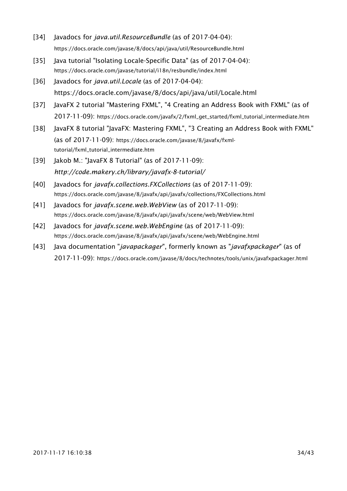- <span id="page-33-2"></span>[34] Javadocs for *java.util.ResourceBundle* (as of 2017-04-04): https://docs.oracle.com/javase/8/docs/api/java/util/ResourceBundle.html
- <span id="page-33-1"></span>[35] Java tutorial "Isolating Locale-Specific Data" (as of 2017-04-04): https://docs.oracle.com/javase/tutorial/i18n/resbundle/index.html
- <span id="page-33-0"></span>[36] Javadocs for *java.util.Locale* (as of 2017-04-04): https://docs.oracle.com/javase/8/docs/api/java/util/Locale.html
- <span id="page-33-5"></span>[37] JavaFX 2 tutorial "Mastering FXML", "4 Creating an Address Book with FXML" (as of 2017-11-09): https://docs.oracle.com/javafx/2/fxml\_get\_started/fxml\_tutorial\_intermediate.htm
- <span id="page-33-4"></span>[38] JavaFX 8 tutorial "JavaFX: Mastering FXML", "3 Creating an Address Book with FXML" (as of 2017-11-09): https://docs.oracle.com/javase/8/javafx/fxmltutorial/fxml\_tutorial\_intermediate.htm
- <span id="page-33-3"></span>[39] Jakob M.: "JavaFX 8 Tutorial" (as of 2017-11-09): *http://code.makery.ch/library/javafx-8-tutorial/*
- [40] Javadocs for *javafx.collections.FXCollections* (as of 2017-11-09): https://docs.oracle.com/javase/8/javafx/api/javafx/collections/FXCollections.html
- [41] Javadocs for *javafx.scene.web.WebView* (as of 2017-11-09): https://docs.oracle.com/javase/8/javafx/api/javafx/scene/web/WebView.html
- <span id="page-33-7"></span>[42] Javadocs for *javafx.scene.web.WebEngine* (as of 2017-11-09): https://docs.oracle.com/javase/8/javafx/api/javafx/scene/web/WebEngine.html
- <span id="page-33-6"></span>[43] Java documentation "*javapackager*", formerly known as "*javafxpackager*" (as of 2017-11-09): https://docs.oracle.com/javase/8/docs/technotes/tools/unix/javafxpackager.html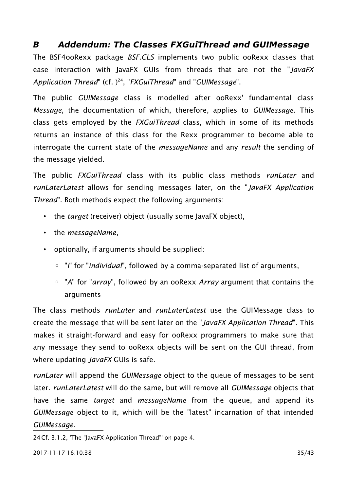## <span id="page-34-0"></span>**B Addendum: The Classes FXGuiThread and GUIMessage**

The BSF4ooRexx package *BSF.CLS* implements two public ooRexx classes that ease interaction with JavaFX GUIs from threads that are not the "*JavaFX* Application Thread" (cf. )<sup>[24](#page-34-1)</sup>, "*FXGuiThread*" and "*GUIMessage*".

The public *GUIMessage* class is modelled after ooRexx' fundamental class *Message*, the documentation of which, therefore, applies to *GUIMessage*. This class gets employed by the *FXGuiThread* class, which in some of its methods returns an instance of this class for the Rexx programmer to become able to interrogate the current state of the *messageName* and any *result* the sending of the message yielded.

The public *FXGuiThread* class with its public class methods *runLater* and *runLaterLatest* allows for sending messages later, on the "*JavaFX Application Thread*". Both methods expect the following arguments:

- the *target* (receiver) object (usually some JavaFX object),
- the *messageName*,
- optionally, if arguments should be supplied:
	- "*I*" for "*individual*", followed by a comma-separated list of arguments,
	- "*A*" for "*array*", followed by an ooRexx *Array* argument that contains the arguments

The class methods *runLater* and *runLaterLatest* use the GUIMessage class to create the message that will be sent later on the "*JavaFX Application Thread*". This makes it straight-forward and easy for ooRexx programmers to make sure that any message they send to ooRexx objects will be sent on the GUI thread, from where updating *JavaFX* GUIs is safe.

*runLater* will append the *GUIMessage* object to the queue of messages to be sent later. *runLaterLatest* will do the same, but will remove all *GUIMessage* objects that have the same *target* and *messageName* from the queue, and append its *GUIMessage* object to it, which will be the "latest" incarnation of that intended *GUIMessage*.

<span id="page-34-1"></span>24Cf. [3.1.2,](#page-3-3) ['The "JavaFX Application Thread"'](#page-3-3) on page [4.](#page-3-3)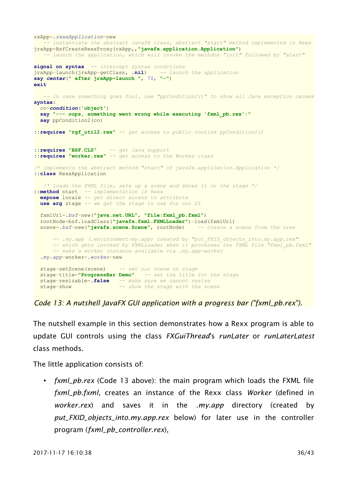```
rxApp=.rexxApplication~new
   -- instantiate the abstract JavaFX class, abstract "start" method implemented in Rexx
jrxApp=BsfCreateRexxProxy(rxApp,,"javafx.application.Application")
   -- launch the application, which will invoke the methdos "init" followed by "start"
signal on syntax -- intercept syntax conditions
jrxApp~launch(jrxApp~getClass, .nil) -- launch the application
say center(" after jrxApp~launch ", 70, "-")
exit
   -- in case something goes foul, use "ppCondition2()" to show all Java exception causes
syntax:
  co=condition('object')
  say "--- oops, something went wrong while executing 'fxml_pb.rex':"
  say ppCondition2(co)
::requires "rgf_util2.rex" -- get access to public routine ppCondition2()
::requires "BSF.CLS" -- get Java support
::requires "worker.rex" -- get access to the Worker class
/* implements the abstract method "start" of javafx.application.Application */
::class RexxApplication
   /* loads the FXML file, sets up a scene and shows it on the stage */
::method start -- implementation in Rexx
  expose locale -- get direct access to attribute
 use arg stage -- we get the stage to use for our UI
  fxmlUrl=.bsf~new("java.net.URL", "file:fxml_pb.fxml")
  rootNode=bsf.loadClass("javafx.fxml.FXMLLoader")~load(fxmlUrl)
  scene=.bsf~new("javafx.scene.Scene", rootNode) -- create a scene from the tree
       -- .my.app (.environment~my.app) created by "put_FXID_objects_into.my.app.rex"
      -- which gets invoked by FXMLLoader when it processes the FXML file "fxml_pb.fxml"
      -- make a worker instance available via .my.app~worker
   .my.app~worker=.worker~new
  stage~setScene(scene) -- set our scene on stage
  stage~title="ProgressBar Demo" -- set the title for the stage
  stage~resizable=.false -- make sure we cannot resize
  stage~show -- show the stage with the scene
```
<span id="page-35-0"></span>*Code 13: A nutshell JavaFX GUI application with a progress bar ("fxml\_pb.rex").*

The nutshell example in this section demonstrates how a Rexx program is able to update GUI controls using the class *FXGuiThread*'s *runLater* or *runLaterLatest* class methods.

The little application consists of:

• *fxml\_pb.rex* [\(Code 13](#page-35-0) [above\)](#page-35-0): the main program which loads the FXML file *fxml\_pb.fxml*, creates an instance of the Rexx class *Worker* (defined in *worker.rex*) and saves it in the *.my.app* directory (created by *put\_FXID\_objects\_into.my.app.rex* below) for later use in the controller program (*fxml\_pb\_controller.rex*),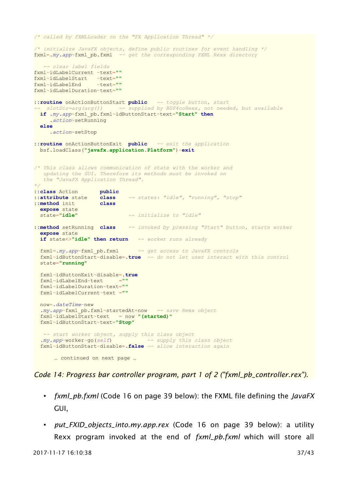```
/* called by FXMLLoader on the "FX Application Thread" */
/* initialize JavaFX objects, define public routines for event handling */
fxml=.my.app~fxml_pb.fxml -- get the corresponding FXML Rexx directory
    -- clear label fields
fxml~idLabelCurrent ~text=""
fxml~idLabelStart ~text=""
fxml~idLabelEnd ~text=""
fxml~idLabelDuration~text=""
::routine onActionButtonStart public -- toggle button, start
  -- slotDir=arg(arg()) -- supplied by BSF4ooRexx, not needed, but available
  if .my.app~fxml_pb.fxml~idButtonStart~text="Start" then
     .action~setRunning
  else
     .action~setStop
::routine onActionButtonExit public -- exit the application
  bsf.loadClass("javafx.application.Platform")~exit
/* This class allows communication of state with the worker and
   updating the GUI. Therefore its methods must be invoked on
    the "JavaFX Application Thread".
*/
::class Action public
::attribute state class -- states: "idle", "running", "stop"
::method init class
  expose state
                              state="idle" -- initialize to "idle"
::method setRunning class -- invoked by pressing "Start" button, starts worker
  expose state
  if state<>"idle" then return -- worker runs already
  fxml=.my.app~fxml_pb.fxml -- get access to JavaFX controls
  fxml~idButtonStart~disable=.true -- do not let user interact with this control
  state="running"
  fxml~idButtonExit~disable=.true
  fxml~idLabelEnd~text =""
  fxml~idLabelDuration~text=""
  fxml~idLabelCurrent~text =""
  now=.dateTime~new
   .my.app~fxml_pb.fxml~startedAt=now -- save Rexx object
  fxml~idLabelStart~text = now "(started)"
  fxml~idButtonStart~text="Stop"
    -- start worker object, supply this class object
 .my.app~worker~go(self) -- supply this class object
 fxml~idButtonStart~disable=.false -- allow interaction again
      … continued on next page …
```
<span id="page-36-0"></span>*Code 14: Progress bar controller program, part 1 of 2 ("fxml\_pb\_controller.rex").*

- *fxml\_pb.fxml* [\(Code 16](#page-38-0) on page [39](#page-38-0) [below\)](#page-38-0): the FXML file defining the *JavaFX* GUI,
- *put\_FXID\_objects\_into.my.app.rex* [\(Code 16](#page-38-0) on page [39](#page-38-0) [below\)](#page-38-0): a utility Rexx program invoked at the end of *fxml\_pb.fxml* which will store all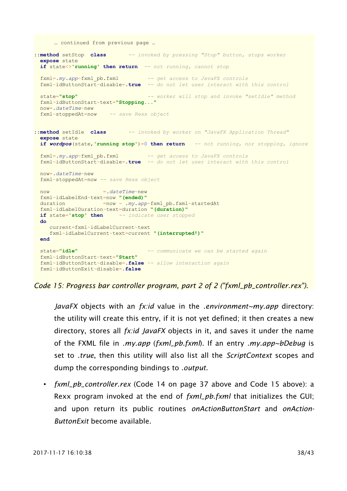… continued from previous page …

```
::method setStop class -- invoked by pressing "Stop" button, stops worker
  expose state
  if state<>'running' then return -- not running, cannot stop
  fxml=.my.app~fxml_pb.fxml -- get access to JavaFX controls
  fxml~idButtonStart~disable=.true -- do not let user interact with this control
  state="stop" -- worker will stop and invoke "setIdle" method
  fxml~idButtonStart~text="Stopping..."
  now=.dateTime~new
  fxml~stoppedAt=now -- save Rexx object
::method setIdle class -- invoked by worker on "JavaFX Application Thread"
  expose state
  if wordpos(state,'running stop')=0 then return -- not running, nor stopping, ignore
  fxml=.my.app~fxml_pb.fxml -- get access to JavaFX controls
  fxml~idButtonStart~disable=.true -- do not let user interact with this control
  now=.dateTime~new
  fxml~stoppedAt=now -- save Rexx object
 now =.dateTime~new
  fxml~idLabelEnd~text=now "(ended)"
  duration =now - .my.app~fxml_pb.fxml~startedAt
  fxml~idLabelDuration~text=duration "(duration)"
  if state='stop' then -- indicate user stopped
  do
     current=fxml~idLabelCurrent~text
     fxml~idLabelCurrent~text=current "(interrupted!)"
  end
  state="idle" -- communicate we can be started again
  fxml~idButtonStart~text="Start"
  fxml~idButtonStart~disable=.false -- allow interaction again
  fxml~idButtonExit~disable=.false
```
<span id="page-37-0"></span>*Code 15: Progress bar controller program, part 2 of 2 ("fxml\_pb\_controller.rex").*

*JavaFX* objects with an *fx:id* value in the *.environment~my.app* directory: the utility will create this entry, if it is not yet defined; it then creates a new directory, stores all *fx:id JavaFX* objects in it, and saves it under the name of the FXML file in *.my.app* (*fxml\_pb.fxml*). If an entry *.my.app~bDebug* is set to *.true*, then this utility will also list all the *ScriptContext* scopes and dump the corresponding bindings to *.output*.

• *fxml\_pb\_controller.rex* [\(Code 14](#page-36-0) on page [37](#page-36-0) [above](#page-36-0) and [Code 15](#page-37-0) [above\)](#page-37-0): a Rexx program invoked at the end of *fxml\_pb.fxml* that initializes the GUI; and upon return its public routines *onActionButtonStart* and *onAction-ButtonExit* become available.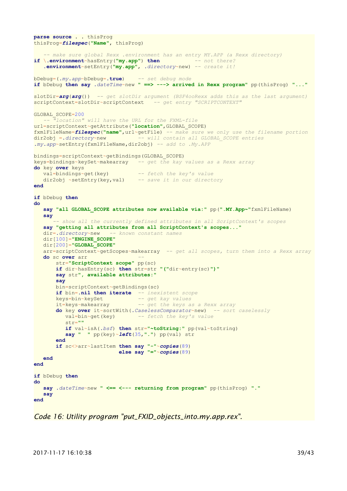```
parse source . . thisProg
thisProg=filespec("Name", thisProg)
    -- make sure global Rexx .environment has an entry MY.APP (a Rexx directory)
if \.environment~hasEntry("my.app") then -- not there?
    .environment~setEntry("my.app", .directory~new) -- create it!
bDebug=(.my.app~bDebug=.true) -- set debug mode
if bDebug then say .dateTime~new " ==> ---> arrived in Rexx program" pp(thisProg) "..."
slotDir=arg(arg()) -- get slotDir argument (BSF4ooRexx adds this as the last argument)
scriptContext=slotDir~scriptContext -- get entry "SCRIPTCONTEXT"
GLOBAL_SCOPE=200
   -- "location" will have the URL for the FXML-file
url=scriptContext~getAttribute("location",GLOBAL_SCOPE)
fxmlFileName=filespec("name",url~getFile) -- make sure we only use the filename portion
dir2obj =.directory~new -- will contain all GLOBAL_SCOPE entries
.my.app~setEntry(fxmlFileName,dir2obj) -- add to .My.APP
bindings=scriptContext~getBindings(GLOBAL_SCOPE)
keys=bindings~keySet~makearray -- get the kay values as a Rexx array
do key over keys
 val=bindings~get(key) -- fetch the key's value
 dir2obj ~setEntry(key,val) -- save it in our directory
end
if bDebug then
do
   say "all GLOBAL_SCOPE attributes now available via:" pp(".MY.App~"fxmlFileName)
    say
        -- show all the currently defined attributes in all ScriptContext's scopes
   say "getting all attributes from all ScriptContext's scopes..."
   dir=.directory~new -- known constant names
   dir[100]="ENGINE_SCOPE"
   dir[200]="GLOBAL_SCOPE"
   arr=scriptContext~getScopes~makearray -- get all scopes, turn them into a Rexx array
   do sc over arr --
       str="ScriptContext scope" pp(sc)
       if dir~hasEntry(sc) then str=str "("dir~entry(sc)")"
       say str", available attributes:"
        say
       bin=scriptContext~getBindings(sc)
       if bin=.nil then iterate -- inexistent scope
 keys=bin~keySet -- get kay values
 it=keys~makearray -- get the keys as a Rexx array
        do key over it~sortWith(.CaselessComparator~new) -- sort caselessly
          val=bin~get(key) -- fetch the key's value
         str=""
          if val~isA(.bsf) then str="~toString:" pp(val~toString)
          say " " pp(key)~left(35,".") pp(val) str
        end
        if sc<>arr~lastItem then say "-"~copies(89)
                           else say "="~copies(89)
   end
end
if bDebug then
do
   say .dateTime~new " <== <--- returning from program" pp(thisProg) "."
    say
end
```
<span id="page-38-0"></span>*Code 16: Utility program "put\_FXID\_objects\_into.my.app.rex".*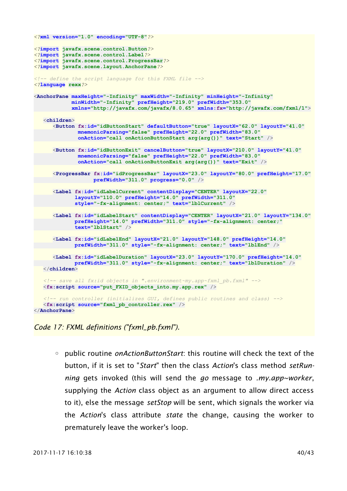```
<?xml version="1.0" encoding="UTF-8"?>
<?import javafx.scene.control.Button?>
<?import javafx.scene.control.Label?>
<?import javafx.scene.control.ProgressBar?>
<?import javafx.scene.layout.AnchorPane?>
<!-- define the script language for this FXML file -->
<?language rexx?>
<AnchorPane maxHeight="-Infinity" maxWidth="-Infinity" minHeight="-Infinity"
            minWidth="-Infinity" prefHeight="219.0" prefWidth="353.0"
             xmlns="http://javafx.com/javafx/8.0.65" xmlns:fx="http://javafx.com/fxml/1">
   <children>
       <Button fx:id="idButtonStart" defaultButton="true" layoutX="62.0" layoutY="41.0"
               mnemonicParsing="false" prefHeight="22.0" prefWidth="83.0"
               onAction="call onActionButtonStart arg(arg())" text="Start" />
       <Button fx:id="idButtonExit" cancelButton="true" layoutX="210.0" layoutY="41.0"
               mnemonicParsing="false" prefHeight="22.0" prefWidth="83.0"
               onAction="call onActionButtonExit arg(arg())" text="Exit" />
       <ProgressBar fx:id="idProgressBar" layoutX="23.0" layoutY="80.0" prefHeight="17.0"
                    prefWidth="311.0" progress="0.0" />
       <Label fx:id="idLabelCurrent" contentDisplay="CENTER" layoutX="22.0"
              layoutY="110.0" prefHeight="14.0" prefWidth="311.0"
              style="-fx-alignment: center;" text="lblCurrent" />
       <Label fx:id="idLabelStart" contentDisplay="CENTER" layoutX="21.0" layoutY="134.0"
              prefHeight="14.0" prefWidth="311.0" style="-fx-alignment: center;"
              text="lblStart" />
      <Label fx:id="idLabelEnd" layoutX="21.0" layoutY="148.0" prefHeight="14.0"
              prefWidth="311.0" style="-fx-alignment: center;" text="lblEnd" />
       <Label fx:id="idLabelDuration" layoutX="23.0" layoutY="170.0" prefHeight="14.0"
             prefWidth="311.0" style="-fx-alignment: center;" text="lblDuration" />
    </children>
    <!-- save all fx:id objects in ".environment~my.app~fxml_pb.fxml" -->
   <fx:script source="put_FXID_objects_into.my.app.rex" />
    <!-- run controller (initializes GUI, defines public routines and class) -->
   <fx:script source="fxml_pb_controller.rex" />
</AnchorPane>
```
#### *Code 17: FXML definitions ("fxml\_pb.fxml").*

◦ public routine *onActionButtonStart*: this routine will check the text of the button, if it is set to "*Start*" then the class *Action*'s class method *setRunning* gets invoked (this will send the *go* message to *.my.app~worker*, supplying the *Action* class object as an argument to allow direct access to it), else the message *setStop* will be sent, which signals the worker via the *Action*'s class attribute *state* the change, causing the worker to prematurely leave the worker's loop.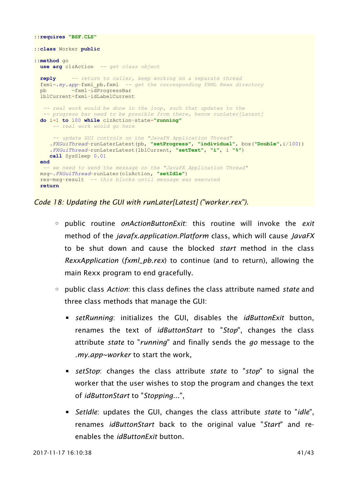```
::requires "BSF.CLS"
::class Worker public
::method go
  use arg clzAction -- get class object
  reply -- return to caller, keep working on a separate thread
  fxml=.my.app~fxml_pb.fxml -- get the corresponding FXML Rexx directory
 pb =fxml~idProgressBar
  lblCurrent=fxml~idLabelCurrent
    -- real work would be done in the loop, such that updates to the
   -- progress bar need to be possible from there, hence runLater[Latest]
  do i=1 to 100 while clzAction~state="running"
        -- real work would go here
 -- update GUI controls on the "JavaFX Application Thread"
 .FXGuiThread~runLaterLatest(pb, "setProgress", "individual", box("Double",i/100))
      .FXGuiThread~runLaterLatest(lblCurrent, "setText", "i", i "%")
     call SysSleep 0.01
  end
    -- we need to send the message on the "JavaFX Application Thread"
  msg=.FXGuiThread~runLater(clzAction, "setIdle")
  res=msg~result -- this blocks until message was executed
  return
```
<span id="page-40-0"></span>*Code 18: Updating the GUI with runLater[Latest] ("worker.rex").*

- public routine *onActionButtonExit*: this routine will invoke the *exit* method of the *javafx.application.Platform* class, which will cause *JavaFX* to be shut down and cause the blocked *start* method in the class *RexxApplication* (*fxml\_pb.rex*) to continue (and to return), allowing the main Rexx program to end gracefully.
- public class *Action*: this class defines the class attribute named *state* and three class methods that manage the GUI:
	- *setRunning*: initializes the GUI, disables the *idButtonExit* button, renames the text of *idButtonStart* to "*Stop*", changes the class attribute *state* to "*running*" and finally sends the *go* message to the *.my.app~worker* to start the work,
	- *setStop*: changes the class attribute *state* to "*stop*" to signal the worker that the user wishes to stop the program and changes the text of *idButtonStart* to "*Stopping*...",
	- *SetIdle*: updates the GUI, changes the class attribute *state* to "*idle*", renames *idButtonStart* back to the original value "*Start*" and reenables the *idButtonExit* button.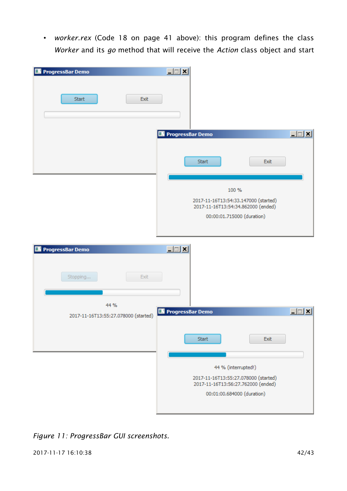• *worker.rex* [\(Code 18](#page-40-0) on page [41](#page-40-0) [above\)](#page-40-0): this program defines the class *Worker* and its *go* method that will receive the *Action* class object and start

| ProgressBar Demo                             | $\Box$                                                                                            |
|----------------------------------------------|---------------------------------------------------------------------------------------------------|
| Start<br>Exit                                |                                                                                                   |
|                                              | $\Box$ $\Box$ $\times$<br>ProgressBar Demo                                                        |
|                                              | <b>Start</b><br>Exit                                                                              |
|                                              | 100 %<br>2017-11-16T13:54:33.147000 (started)<br>2017-11-16T13:54:34.862000 (ended)               |
|                                              | 00:00:01.715000 (duration)                                                                        |
| <b>ProgressBar Demo</b>                      | $L = 1$                                                                                           |
| Exit<br>Stopping                             |                                                                                                   |
| 44 %<br>2017-11-16T13:55:27.078000 (started) | 上回凶<br>ProgressBar Demo                                                                           |
|                                              | <b>Start</b><br>Exit                                                                              |
|                                              |                                                                                                   |
|                                              | 44 % (interrupted!)<br>2017-11-16T13:55:27.078000 (started)<br>2017-11-16T13:56:27.762000 (ended) |
|                                              | 00:01:00.684000 (duration)                                                                        |

<span id="page-41-0"></span>*Figure 11: ProgressBar GUI screenshots.*